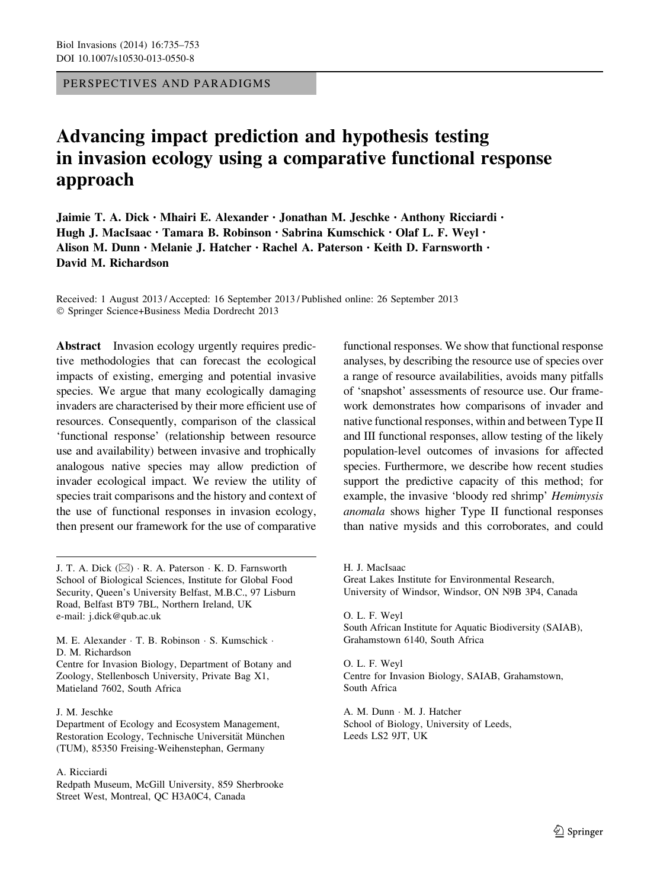PERSPECTIVES AND PARADIGMS

# Advancing impact prediction and hypothesis testing in invasion ecology using a comparative functional response approach

Jaimie T. A. Dick • Mhairi E. Alexander • Jonathan M. Jeschke • Anthony Ricciardi • Hugh J. MacIsaac • Tamara B. Robinson • Sabrina Kumschick • Olaf L. F. Weyl • Alison M. Dunn • Melanie J. Hatcher • Rachel A. Paterson • Keith D. Farnsworth • David M. Richardson

Received: 1 August 2013 / Accepted: 16 September 2013 / Published online: 26 September 2013 - Springer Science+Business Media Dordrecht 2013

Abstract Invasion ecology urgently requires predictive methodologies that can forecast the ecological impacts of existing, emerging and potential invasive species. We argue that many ecologically damaging invaders are characterised by their more efficient use of resources. Consequently, comparison of the classical 'functional response' (relationship between resource use and availability) between invasive and trophically analogous native species may allow prediction of invader ecological impact. We review the utility of species trait comparisons and the history and context of the use of functional responses in invasion ecology, then present our framework for the use of comparative

J. T. A. Dick  $(\boxtimes) \cdot R$ . A. Paterson  $\cdot K$ . D. Farnsworth School of Biological Sciences, Institute for Global Food Security, Queen's University Belfast, M.B.C., 97 Lisburn Road, Belfast BT9 7BL, Northern Ireland, UK e-mail: j.dick@qub.ac.uk

M. E. Alexander · T. B. Robinson · S. Kumschick · D. M. Richardson Centre for Invasion Biology, Department of Botany and

Zoology, Stellenbosch University, Private Bag X1, Matieland 7602, South Africa

## J. M. Jeschke

Department of Ecology and Ecosystem Management, Restoration Ecology, Technische Universität München (TUM), 85350 Freising-Weihenstephan, Germany

A. Ricciardi

Redpath Museum, McGill University, 859 Sherbrooke Street West, Montreal, QC H3A0C4, Canada

functional responses. We show that functional response analyses, by describing the resource use of species over a range of resource availabilities, avoids many pitfalls of 'snapshot' assessments of resource use. Our framework demonstrates how comparisons of invader and native functional responses, within and between Type II and III functional responses, allow testing of the likely population-level outcomes of invasions for affected species. Furthermore, we describe how recent studies support the predictive capacity of this method; for example, the invasive 'bloody red shrimp' Hemimysis anomala shows higher Type II functional responses than native mysids and this corroborates, and could

H. J. MacIsaac Great Lakes Institute for Environmental Research, University of Windsor, Windsor, ON N9B 3P4, Canada

O. L. F. Weyl South African Institute for Aquatic Biodiversity (SAIAB), Grahamstown 6140, South Africa

O. L. F. Weyl Centre for Invasion Biology, SAIAB, Grahamstown, South Africa

A. M. Dunn - M. J. Hatcher School of Biology, University of Leeds, Leeds LS2 9JT, UK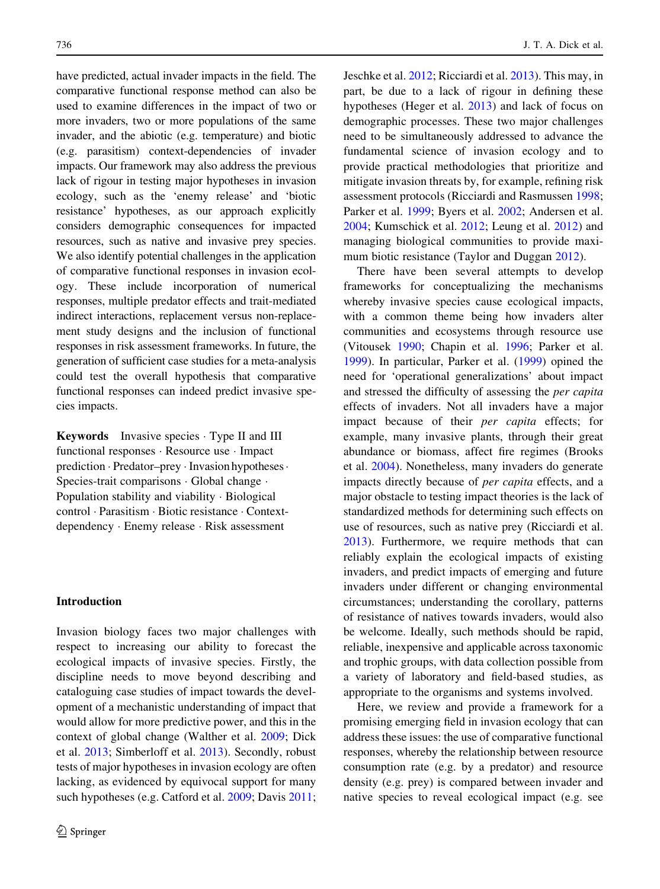have predicted, actual invader impacts in the field. The comparative functional response method can also be used to examine differences in the impact of two or more invaders, two or more populations of the same invader, and the abiotic (e.g. temperature) and biotic (e.g. parasitism) context-dependencies of invader impacts. Our framework may also address the previous lack of rigour in testing major hypotheses in invasion ecology, such as the 'enemy release' and 'biotic resistance' hypotheses, as our approach explicitly considers demographic consequences for impacted resources, such as native and invasive prey species. We also identify potential challenges in the application of comparative functional responses in invasion ecology. These include incorporation of numerical responses, multiple predator effects and trait-mediated indirect interactions, replacement versus non-replacement study designs and the inclusion of functional responses in risk assessment frameworks. In future, the generation of sufficient case studies for a meta-analysis could test the overall hypothesis that comparative functional responses can indeed predict invasive species impacts.

Keywords Invasive species · Type II and III functional responses - Resource use - Impact prediction - Predator–prey - Invasion hypotheses- Species-trait comparisons - Global change - Population stability and viability - Biological control - Parasitism - Biotic resistance - Contextdependency - Enemy release - Risk assessment

## Introduction

Invasion biology faces two major challenges with respect to increasing our ability to forecast the ecological impacts of invasive species. Firstly, the discipline needs to move beyond describing and cataloguing case studies of impact towards the development of a mechanistic understanding of impact that would allow for more predictive power, and this in the context of global change (Walther et al. [2009](#page-18-0); Dick et al. [2013;](#page-15-0) Simberloff et al. [2013](#page-17-0)). Secondly, robust tests of major hypotheses in invasion ecology are often lacking, as evidenced by equivocal support for many such hypotheses (e.g. Catford et al. [2009;](#page-15-0) Davis [2011](#page-15-0);

Jeschke et al. [2012;](#page-16-0) Ricciardi et al. [2013](#page-17-0)). This may, in part, be due to a lack of rigour in defining these hypotheses (Heger et al. [2013](#page-16-0)) and lack of focus on demographic processes. These two major challenges need to be simultaneously addressed to advance the fundamental science of invasion ecology and to provide practical methodologies that prioritize and mitigate invasion threats by, for example, refining risk assessment protocols (Ricciardi and Rasmussen [1998](#page-17-0); Parker et al. [1999](#page-17-0); Byers et al. [2002;](#page-15-0) Andersen et al. [2004;](#page-14-0) Kumschick et al. [2012](#page-16-0); Leung et al. [2012\)](#page-16-0) and managing biological communities to provide maximum biotic resistance (Taylor and Duggan [2012\)](#page-18-0).

There have been several attempts to develop frameworks for conceptualizing the mechanisms whereby invasive species cause ecological impacts, with a common theme being how invaders alter communities and ecosystems through resource use (Vitousek [1990](#page-18-0); Chapin et al. [1996;](#page-15-0) Parker et al. [1999\)](#page-17-0). In particular, Parker et al. ([1999\)](#page-17-0) opined the need for 'operational generalizations' about impact and stressed the difficulty of assessing the per capita effects of invaders. Not all invaders have a major impact because of their per capita effects; for example, many invasive plants, through their great abundance or biomass, affect fire regimes (Brooks et al. [2004\)](#page-15-0). Nonetheless, many invaders do generate impacts directly because of per capita effects, and a major obstacle to testing impact theories is the lack of standardized methods for determining such effects on use of resources, such as native prey (Ricciardi et al. [2013\)](#page-17-0). Furthermore, we require methods that can reliably explain the ecological impacts of existing invaders, and predict impacts of emerging and future invaders under different or changing environmental circumstances; understanding the corollary, patterns of resistance of natives towards invaders, would also be welcome. Ideally, such methods should be rapid, reliable, inexpensive and applicable across taxonomic and trophic groups, with data collection possible from a variety of laboratory and field-based studies, as appropriate to the organisms and systems involved.

Here, we review and provide a framework for a promising emerging field in invasion ecology that can address these issues: the use of comparative functional responses, whereby the relationship between resource consumption rate (e.g. by a predator) and resource density (e.g. prey) is compared between invader and native species to reveal ecological impact (e.g. see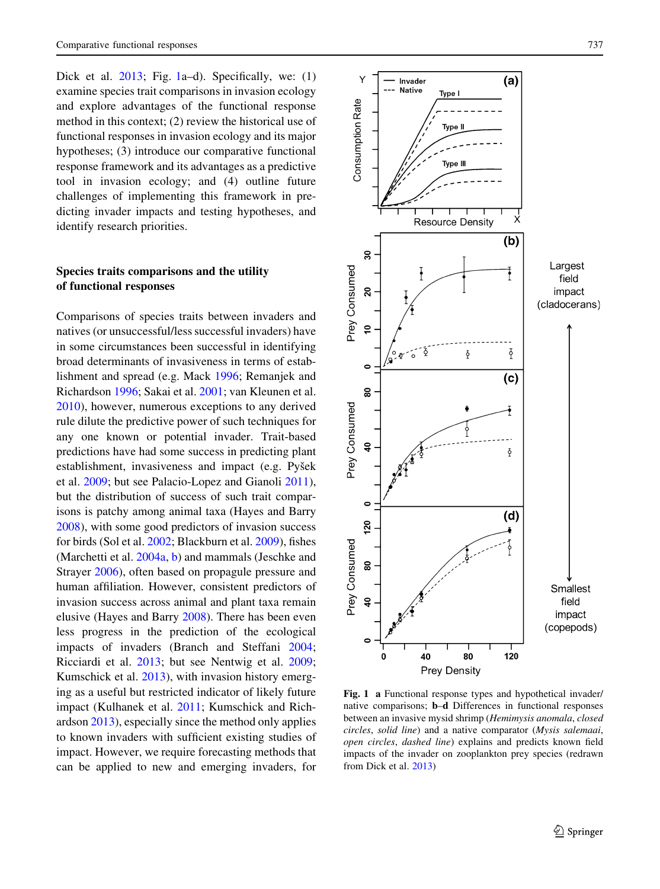<span id="page-2-0"></span>Dick et al.  $2013$ ; Fig. 1a–d). Specifically, we: (1) examine species trait comparisons in invasion ecology and explore advantages of the functional response method in this context; (2) review the historical use of functional responses in invasion ecology and its major hypotheses; (3) introduce our comparative functional response framework and its advantages as a predictive tool in invasion ecology; and (4) outline future challenges of implementing this framework in predicting invader impacts and testing hypotheses, and identify research priorities.

# Species traits comparisons and the utility of functional responses

Comparisons of species traits between invaders and natives (or unsuccessful/less successful invaders) have in some circumstances been successful in identifying broad determinants of invasiveness in terms of establishment and spread (e.g. Mack [1996](#page-16-0); Remanjek and Richardson [1996](#page-17-0); Sakai et al. [2001](#page-17-0); van Kleunen et al. [2010\)](#page-18-0), however, numerous exceptions to any derived rule dilute the predictive power of such techniques for any one known or potential invader. Trait-based predictions have had some success in predicting plant establishment, invasiveness and impact (e.g. Pyšek et al. [2009](#page-17-0); but see Palacio-Lopez and Gianoli [2011](#page-17-0)), but the distribution of success of such trait comparisons is patchy among animal taxa (Hayes and Barry [2008\)](#page-16-0), with some good predictors of invasion success for birds (Sol et al. [2002](#page-17-0); Blackburn et al. [2009\)](#page-15-0), fishes (Marchetti et al. [2004a,](#page-16-0) [b](#page-16-0)) and mammals (Jeschke and Strayer [2006](#page-16-0)), often based on propagule pressure and human affiliation. However, consistent predictors of invasion success across animal and plant taxa remain elusive (Hayes and Barry [2008](#page-16-0)). There has been even less progress in the prediction of the ecological impacts of invaders (Branch and Steffani [2004](#page-15-0); Ricciardi et al. [2013;](#page-17-0) but see Nentwig et al. [2009](#page-17-0); Kumschick et al. [2013\)](#page-16-0), with invasion history emerging as a useful but restricted indicator of likely future impact (Kulhanek et al. [2011;](#page-16-0) Kumschick and Richardson [2013](#page-16-0)), especially since the method only applies to known invaders with sufficient existing studies of impact. However, we require forecasting methods that can be applied to new and emerging invaders, for



Fig. 1 a Functional response types and hypothetical invader/ native comparisons; b–d Differences in functional responses between an invasive mysid shrimp (Hemimysis anomala, closed circles, solid line) and a native comparator (Mysis salemaai, open circles, dashed line) explains and predicts known field impacts of the invader on zooplankton prey species (redrawn from Dick et al. [2013\)](#page-15-0)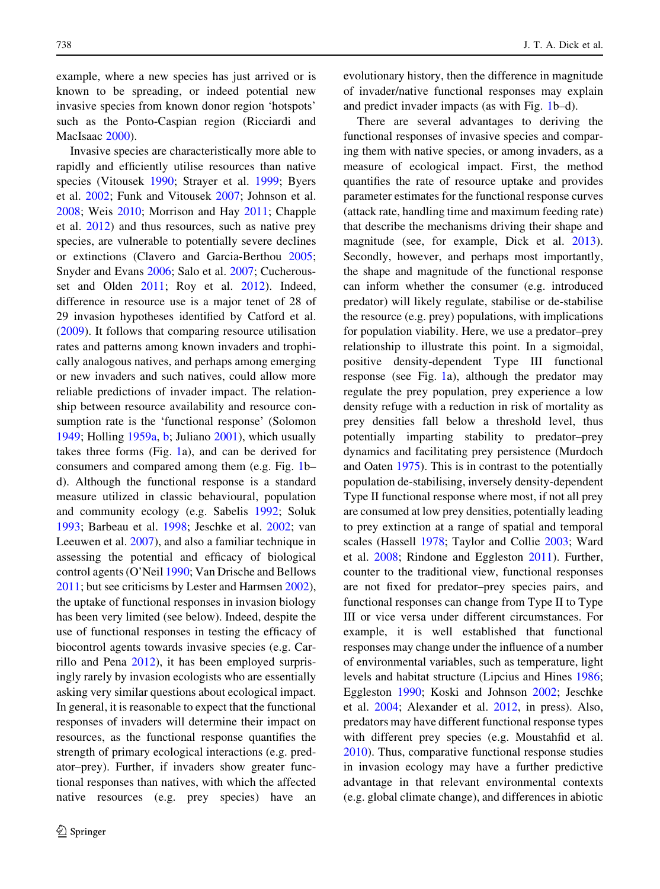example, where a new species has just arrived or is known to be spreading, or indeed potential new invasive species from known donor region 'hotspots' such as the Ponto-Caspian region (Ricciardi and MacIsaac [2000\)](#page-17-0).

Invasive species are characteristically more able to rapidly and efficiently utilise resources than native species (Vitousek [1990](#page-18-0); Strayer et al. [1999](#page-18-0); Byers et al. [2002;](#page-15-0) Funk and Vitousek [2007;](#page-15-0) Johnson et al. [2008;](#page-16-0) Weis [2010](#page-18-0); Morrison and Hay [2011](#page-16-0); Chapple et al. [2012\)](#page-15-0) and thus resources, such as native prey species, are vulnerable to potentially severe declines or extinctions (Clavero and Garcia-Berthou [2005](#page-15-0); Snyder and Evans [2006](#page-17-0); Salo et al. [2007;](#page-17-0) Cucherousset and Olden [2011;](#page-15-0) Roy et al. [2012\)](#page-17-0). Indeed, difference in resource use is a major tenet of 28 of 29 invasion hypotheses identified by Catford et al. [\(2009](#page-15-0)). It follows that comparing resource utilisation rates and patterns among known invaders and trophically analogous natives, and perhaps among emerging or new invaders and such natives, could allow more reliable predictions of invader impact. The relationship between resource availability and resource consumption rate is the 'functional response' (Solomon [1949;](#page-17-0) Holling [1959a](#page-16-0), [b](#page-16-0); Juliano [2001\)](#page-16-0), which usually takes three forms (Fig. [1a](#page-2-0)), and can be derived for consumers and compared among them (e.g. Fig. [1](#page-2-0)b– d). Although the functional response is a standard measure utilized in classic behavioural, population and community ecology (e.g. Sabelis [1992;](#page-17-0) Soluk [1993;](#page-18-0) Barbeau et al. [1998](#page-14-0); Jeschke et al. [2002](#page-16-0); van Leeuwen et al. [2007\)](#page-18-0), and also a familiar technique in assessing the potential and efficacy of biological control agents (O'Neil [1990](#page-17-0); Van Drische and Bellows [2011;](#page-18-0) but see criticisms by Lester and Harmsen [2002](#page-16-0)), the uptake of functional responses in invasion biology has been very limited (see below). Indeed, despite the use of functional responses in testing the efficacy of biocontrol agents towards invasive species (e.g. Carrillo and Pena [2012](#page-15-0)), it has been employed surprisingly rarely by invasion ecologists who are essentially asking very similar questions about ecological impact. In general, it is reasonable to expect that the functional responses of invaders will determine their impact on resources, as the functional response quantifies the strength of primary ecological interactions (e.g. predator–prey). Further, if invaders show greater functional responses than natives, with which the affected native resources (e.g. prey species) have an

evolutionary history, then the difference in magnitude of invader/native functional responses may explain and predict invader impacts (as with Fig. [1b](#page-2-0)–d).

There are several advantages to deriving the functional responses of invasive species and comparing them with native species, or among invaders, as a measure of ecological impact. First, the method quantifies the rate of resource uptake and provides parameter estimates for the functional response curves (attack rate, handling time and maximum feeding rate) that describe the mechanisms driving their shape and magnitude (see, for example, Dick et al. [2013](#page-15-0)). Secondly, however, and perhaps most importantly, the shape and magnitude of the functional response can inform whether the consumer (e.g. introduced predator) will likely regulate, stabilise or de-stabilise the resource (e.g. prey) populations, with implications for population viability. Here, we use a predator–prey relationship to illustrate this point. In a sigmoidal, positive density-dependent Type III functional response (see Fig. [1a](#page-2-0)), although the predator may regulate the prey population, prey experience a low density refuge with a reduction in risk of mortality as prey densities fall below a threshold level, thus potentially imparting stability to predator–prey dynamics and facilitating prey persistence (Murdoch and Oaten [1975\)](#page-17-0). This is in contrast to the potentially population de-stabilising, inversely density-dependent Type II functional response where most, if not all prey are consumed at low prey densities, potentially leading to prey extinction at a range of spatial and temporal scales (Hassell [1978;](#page-16-0) Taylor and Collie [2003;](#page-18-0) Ward et al. [2008](#page-18-0); Rindone and Eggleston [2011](#page-17-0)). Further, counter to the traditional view, functional responses are not fixed for predator–prey species pairs, and functional responses can change from Type II to Type III or vice versa under different circumstances. For example, it is well established that functional responses may change under the influence of a number of environmental variables, such as temperature, light levels and habitat structure (Lipcius and Hines [1986](#page-16-0); Eggleston [1990;](#page-15-0) Koski and Johnson [2002;](#page-16-0) Jeschke et al. [2004;](#page-16-0) Alexander et al. [2012](#page-14-0), in press). Also, predators may have different functional response types with different prey species (e.g. Moustahfid et al. [2010\)](#page-17-0). Thus, comparative functional response studies in invasion ecology may have a further predictive advantage in that relevant environmental contexts (e.g. global climate change), and differences in abiotic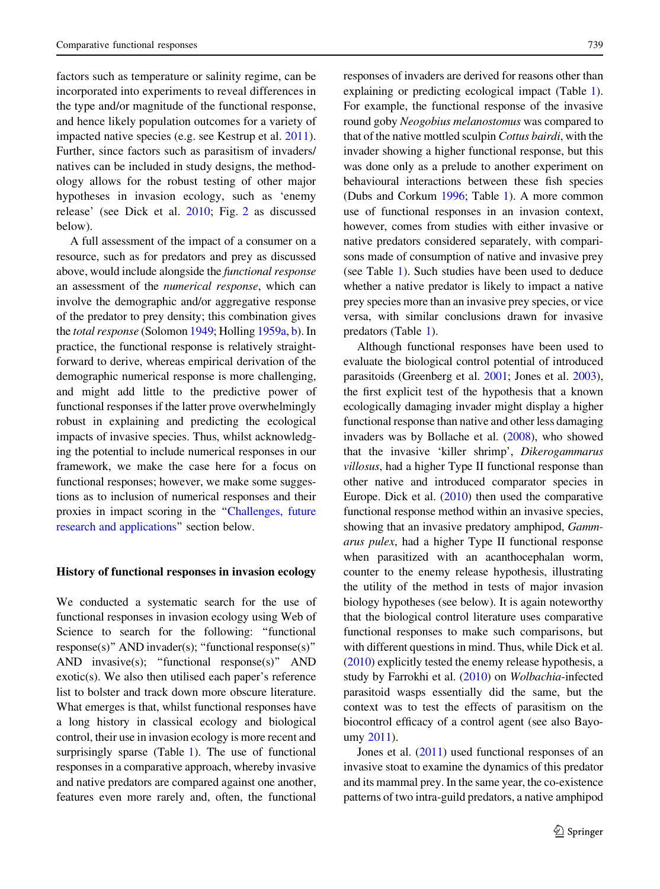factors such as temperature or salinity regime, can be incorporated into experiments to reveal differences in the type and/or magnitude of the functional response, and hence likely population outcomes for a variety of impacted native species (e.g. see Kestrup et al. [2011](#page-16-0)). Further, since factors such as parasitism of invaders/ natives can be included in study designs, the methodology allows for the robust testing of other major hypotheses in invasion ecology, such as 'enemy release' (see Dick et al. [2010](#page-15-0); Fig. [2](#page-10-0) as discussed below).

A full assessment of the impact of a consumer on a resource, such as for predators and prey as discussed above, would include alongside the functional response an assessment of the numerical response, which can involve the demographic and/or aggregative response of the predator to prey density; this combination gives the total response (Solomon [1949;](#page-17-0) Holling [1959a](#page-16-0), [b\)](#page-16-0). In practice, the functional response is relatively straightforward to derive, whereas empirical derivation of the demographic numerical response is more challenging, and might add little to the predictive power of functional responses if the latter prove overwhelmingly robust in explaining and predicting the ecological impacts of invasive species. Thus, whilst acknowledging the potential to include numerical responses in our framework, we make the case here for a focus on functional responses; however, we make some suggestions as to inclusion of numerical responses and their proxies in impact scoring in the ''[Challenges, future](#page-12-0) [research and applications](#page-12-0)'' section below.

#### History of functional responses in invasion ecology

We conducted a systematic search for the use of functional responses in invasion ecology using Web of Science to search for the following: "functional response(s)'' AND invader(s); ''functional response(s)'' AND invasive(s); "functional response(s)" AND exotic(s). We also then utilised each paper's reference list to bolster and track down more obscure literature. What emerges is that, whilst functional responses have a long history in classical ecology and biological control, their use in invasion ecology is more recent and surprisingly sparse (Table [1](#page-5-0)). The use of functional responses in a comparative approach, whereby invasive and native predators are compared against one another, features even more rarely and, often, the functional

responses of invaders are derived for reasons other than explaining or predicting ecological impact (Table [1\)](#page-5-0). For example, the functional response of the invasive round goby Neogobius melanostomus was compared to that of the native mottled sculpin Cottus bairdi, with the invader showing a higher functional response, but this was done only as a prelude to another experiment on behavioural interactions between these fish species (Dubs and Corkum [1996](#page-15-0); Table [1](#page-5-0)). A more common use of functional responses in an invasion context, however, comes from studies with either invasive or native predators considered separately, with comparisons made of consumption of native and invasive prey (see Table [1](#page-5-0)). Such studies have been used to deduce whether a native predator is likely to impact a native prey species more than an invasive prey species, or vice versa, with similar conclusions drawn for invasive predators (Table [1\)](#page-5-0).

Although functional responses have been used to evaluate the biological control potential of introduced parasitoids (Greenberg et al. [2001;](#page-15-0) Jones et al. [2003\)](#page-16-0), the first explicit test of the hypothesis that a known ecologically damaging invader might display a higher functional response than native and other less damaging invaders was by Bollache et al. ([2008](#page-15-0)), who showed that the invasive 'killer shrimp', Dikerogammarus villosus, had a higher Type II functional response than other native and introduced comparator species in Europe. Dick et al. [\(2010\)](#page-15-0) then used the comparative functional response method within an invasive species, showing that an invasive predatory amphipod, Gammarus pulex, had a higher Type II functional response when parasitized with an acanthocephalan worm, counter to the enemy release hypothesis, illustrating the utility of the method in tests of major invasion biology hypotheses (see below). It is again noteworthy that the biological control literature uses comparative functional responses to make such comparisons, but with different questions in mind. Thus, while Dick et al. [\(2010\)](#page-15-0) explicitly tested the enemy release hypothesis, a study by Farrokhi et al. [\(2010\)](#page-15-0) on Wolbachia-infected parasitoid wasps essentially did the same, but the context was to test the effects of parasitism on the biocontrol efficacy of a control agent (see also Bayoumy [2011\)](#page-14-0).

Jones et al. ([2011](#page-16-0)) used functional responses of an invasive stoat to examine the dynamics of this predator and its mammal prey. In the same year, the co-existence patterns of two intra-guild predators, a native amphipod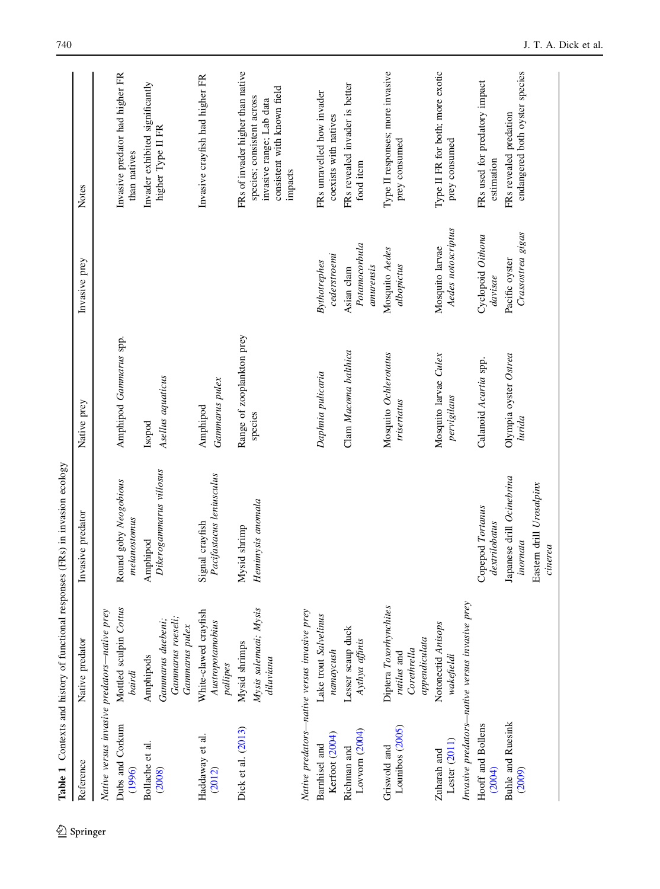<span id="page-5-0"></span>

|                                    |                                                                       | Table 1 Contexts and history of functional responses (FRs) in invasion ecology |                                      |                                          |                                                                                                                                       |
|------------------------------------|-----------------------------------------------------------------------|--------------------------------------------------------------------------------|--------------------------------------|------------------------------------------|---------------------------------------------------------------------------------------------------------------------------------------|
| Reference                          | Native predator                                                       | Invasive predator                                                              | Native prey                          | Invasive prey                            | Notes                                                                                                                                 |
|                                    | Native versus invasive predators—native prey                          |                                                                                |                                      |                                          |                                                                                                                                       |
| Dubs and Corkum<br>(1996)          | Mottled sculpin Cottus<br>bairdi                                      | Round goby Neogobious<br>melanostomus                                          | Amphipod Gamnarus spp.               |                                          | Invasive predator had higher FR<br>than natives                                                                                       |
| ನ<br>Bollache et<br>(2008)         | Gammarus roeseli;<br>Gammarus duebeni;<br>Gammarus pulex<br>Amphipods | Dikerogammarus villosus<br>Amphipod                                            | Asellus aquaticus<br>Isopod          |                                          | Invader exhibited significantly<br>higher Type II FR                                                                                  |
| Haddaway et al.<br>(2012)          | White-clawed crayfish<br>Austropotamobius<br>pallipes                 | Pacifastacus Ieniusculus<br>Signal crayfish                                    | Gammarus pulex<br>Amphipod           |                                          | Invasive crayfish had higher FR                                                                                                       |
| Dick et al. (2013)                 | Mysis salemaai; Mysis<br>Mysid shrimps<br>diluviana                   | Hemimysis anomala<br>Mysid shrimp                                              | Range of zooplankton prey<br>species |                                          | FRs of invader higher than native<br>consistent with known field<br>species; consistent across<br>invasive range; Lab data<br>impacts |
|                                    | Native predators—native versus invasive prey                          |                                                                                |                                      |                                          |                                                                                                                                       |
| Kerfoot (2004)<br>Barnhisel and    | Lake trout Salvelinus<br>namaycush                                    |                                                                                | Daphnia pulicaria                    | cederstroemi<br><b>Bythotrephes</b>      | FRs unravelled how invader<br>coexists with natives                                                                                   |
| Lovorn (2004)<br>Richman and       | Lesser scaup duck<br>Aythya affinis                                   |                                                                                | Clam Macoma balthica                 | Potamocorbula<br>amurensis<br>Asian clam | FRs revealed invader is better<br>food item                                                                                           |
| Lounibos (2005)<br>Griswold and    | Diptera Toxorhynchites<br>appendiculata<br>Corethrella<br>rutilus and |                                                                                | Mosquito Ochlerotatus<br>triseriatus | Mosquito Aedes<br>albopictus             | Type II responses; more invasive<br>prey consumed                                                                                     |
| Lester $(2011)$<br>Zuharah and     | Notonectid Anisops<br>wakefieldi                                      |                                                                                | Mosquito larvae Culex<br>pervigilans | Aedes notoscriptus<br>Mosquito larvae    | Type II FR for both; more exotic<br>prey consumed                                                                                     |
| Hooff and Bollens<br>(2004)        | Invasive predators-native versus invasive prey                        | Copepod Tortanus<br>dextrilobatus                                              | Calanoid Acartia spp.                | Cyclopoid Oithona<br>davisae             | FRs used for predatory impact<br>estimation                                                                                           |
| <b>Buhle and Ruesink</b><br>(2009) |                                                                       | Japanese drill Ocinebrina<br>Eastern drill Urosalpinx<br>inornata<br>cinerea   | Olympia oyster Ostrea<br>lurida      | Crassostrea gigas<br>Pacific oyster      | endangered both oyster species<br>FRs revealed predation                                                                              |

 $\underline{\textcircled{\tiny 2}}$  Springer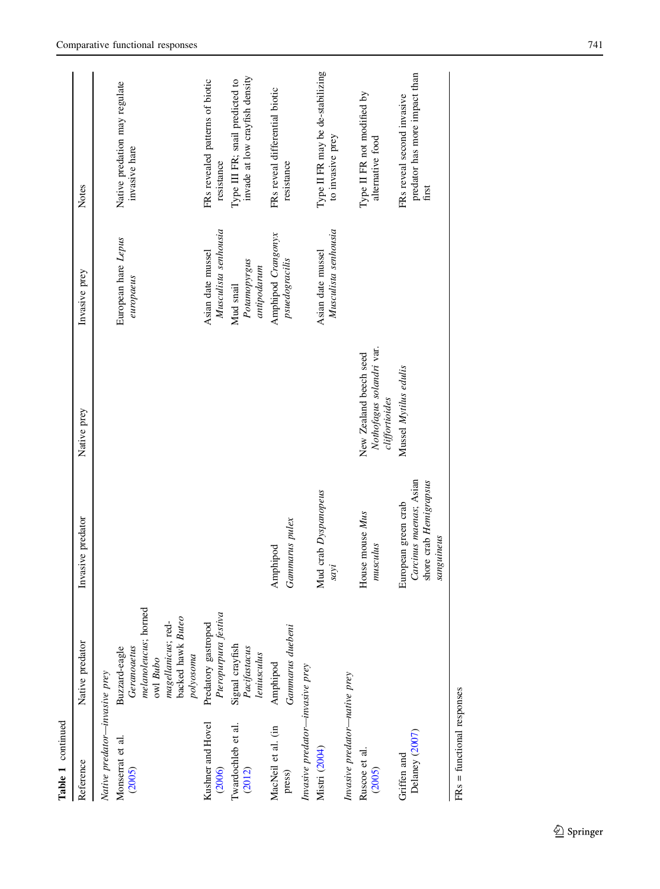| Table 1 continued               |                                                                                                                          |                                                                                       |                                                                      |                                           |                                                                      |
|---------------------------------|--------------------------------------------------------------------------------------------------------------------------|---------------------------------------------------------------------------------------|----------------------------------------------------------------------|-------------------------------------------|----------------------------------------------------------------------|
| Reference                       | Native predator                                                                                                          | Invasive predator                                                                     | Native prey                                                          | Invasive prey                             | Notes                                                                |
| Native predator-invasive prey   |                                                                                                                          |                                                                                       |                                                                      |                                           |                                                                      |
| Monserrat et al.<br>(2005)      | melanoleucus; horned<br>backed hawk Buteo<br>magellanicus; red-<br>Geranoaetus<br>Buzzard-eagle<br>polyosoma<br>owl Bubo |                                                                                       |                                                                      | European hare Lepus<br>europaeus          | Native predation may regulate<br>invasive hare                       |
| Kushner and Hovel<br>(2006)     | Pteropurpura festiva<br>Predatory gastropod                                                                              |                                                                                       |                                                                      | Musculista senhousia<br>Asian date mussel | FRs revealed patterns of biotic<br>resistance                        |
| Twardochleb et al.<br>(2012)    | Signal crayfish<br>Pacifastacus<br>leniusculus                                                                           |                                                                                       |                                                                      | Potamopyrgus<br>antipodarum<br>Mud snail  | invade at low crayfish density<br>Type III FR; snail predicted to    |
| MacNeil et al. (in<br>press)    | Gammarus duebeni<br>Amphipod                                                                                             | Gammarus pulex<br>Amphipod                                                            |                                                                      | Amphipod Crangonyx<br>psuedogracilis      | FRs reveal differential biotic<br>resistance                         |
| Invasive predator-invasive prey |                                                                                                                          |                                                                                       |                                                                      |                                           |                                                                      |
| Mistri (2004)                   |                                                                                                                          | Mud crab Dyspanopeus<br>sayı                                                          |                                                                      | Musculista senhousia<br>Asian date mussel | Type II FR may be de-stabilizing<br>to invasive prey                 |
| Invasive predator-native prey   |                                                                                                                          |                                                                                       |                                                                      |                                           |                                                                      |
| Ruscoe et al.<br>(2005)         |                                                                                                                          | House mouse Mus<br>musculus                                                           | Nothofagus solandri var.<br>New Zealand beech seed<br>cliffortioides |                                           | Type II FR not modified by<br>alternative food                       |
| Delaney (2007)<br>Griffen and   |                                                                                                                          | Carcinus maenas; Asian<br>shore crab Hemigrapsus<br>European green crab<br>sanguineus | Mussel Mytilus edulis                                                |                                           | predator has more impact than<br>FRs reveal second invasive<br>first |
| $FRs = functional$ responses    |                                                                                                                          |                                                                                       |                                                                      |                                           |                                                                      |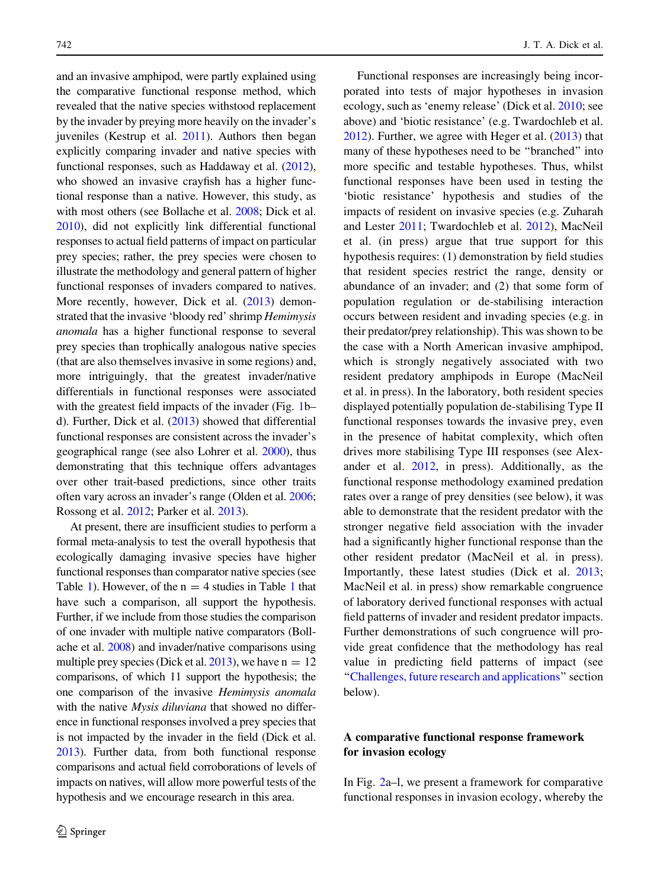and an invasive amphipod, were partly explained using the comparative functional response method, which revealed that the native species withstood replacement by the invader by preying more heavily on the invader's juveniles (Kestrup et al. [2011\)](#page-16-0). Authors then began explicitly comparing invader and native species with functional responses, such as Haddaway et al. [\(2012](#page-15-0)), who showed an invasive crayfish has a higher functional response than a native. However, this study, as with most others (see Bollache et al. [2008;](#page-15-0) Dick et al. [2010](#page-15-0)), did not explicitly link differential functional responses to actual field patterns of impact on particular prey species; rather, the prey species were chosen to illustrate the methodology and general pattern of higher functional responses of invaders compared to natives. More recently, however, Dick et al. ([2013](#page-15-0)) demonstrated that the invasive 'bloody red' shrimp Hemimysis anomala has a higher functional response to several prey species than trophically analogous native species (that are also themselves invasive in some regions) and, more intriguingly, that the greatest invader/native differentials in functional responses were associated with the greatest field impacts of the invader (Fig. [1](#page-2-0)bd). Further, Dick et al. [\(2013\)](#page-15-0) showed that differential functional responses are consistent across the invader's geographical range (see also Lohrer et al. [2000\)](#page-16-0), thus demonstrating that this technique offers advantages over other trait-based predictions, since other traits often vary across an invader's range (Olden et al. [2006](#page-17-0); Rossong et al. [2012;](#page-17-0) Parker et al. [2013](#page-17-0)).

At present, there are insufficient studies to perform a formal meta-analysis to test the overall hypothesis that ecologically damaging invasive species have higher functional responses than comparator native species (see Table [1\)](#page-5-0). However, of the  $n = 4$  studies in Table [1](#page-5-0) that have such a comparison, all support the hypothesis. Further, if we include from those studies the comparison of one invader with multiple native comparators (Bollache et al. [2008\)](#page-15-0) and invader/native comparisons using multiple prey species (Dick et al. [2013\)](#page-15-0), we have  $n = 12$ comparisons, of which 11 support the hypothesis; the one comparison of the invasive Hemimysis anomala with the native Mysis diluviana that showed no difference in functional responses involved a prey species that is not impacted by the invader in the field (Dick et al. [2013](#page-15-0)). Further data, from both functional response comparisons and actual field corroborations of levels of impacts on natives, will allow more powerful tests of the hypothesis and we encourage research in this area.

Functional responses are increasingly being incorporated into tests of major hypotheses in invasion ecology, such as 'enemy release' (Dick et al. [2010;](#page-15-0) see above) and 'biotic resistance' (e.g. Twardochleb et al. [2012\)](#page-18-0). Further, we agree with Heger et al. [\(2013](#page-16-0)) that many of these hypotheses need to be ''branched'' into more specific and testable hypotheses. Thus, whilst functional responses have been used in testing the 'biotic resistance' hypothesis and studies of the impacts of resident on invasive species (e.g. Zuharah and Lester [2011;](#page-18-0) Twardochleb et al. [2012](#page-18-0)), MacNeil et al. (in press) argue that true support for this hypothesis requires: (1) demonstration by field studies that resident species restrict the range, density or abundance of an invader; and (2) that some form of population regulation or de-stabilising interaction occurs between resident and invading species (e.g. in their predator/prey relationship). This was shown to be the case with a North American invasive amphipod, which is strongly negatively associated with two resident predatory amphipods in Europe (MacNeil et al. in press). In the laboratory, both resident species displayed potentially population de-stabilising Type II functional responses towards the invasive prey, even in the presence of habitat complexity, which often drives more stabilising Type III responses (see Alexander et al. [2012](#page-14-0), in press). Additionally, as the functional response methodology examined predation rates over a range of prey densities (see below), it was able to demonstrate that the resident predator with the stronger negative field association with the invader had a significantly higher functional response than the other resident predator (MacNeil et al. in press). Importantly, these latest studies (Dick et al. [2013](#page-15-0); MacNeil et al. in press) show remarkable congruence of laboratory derived functional responses with actual field patterns of invader and resident predator impacts. Further demonstrations of such congruence will provide great confidence that the methodology has real value in predicting field patterns of impact (see '['Challenges, future research and applications'](#page-12-0)' section below).

# A comparative functional response framework for invasion ecology

In Fig. [2a](#page-10-0)–l, we present a framework for comparative functional responses in invasion ecology, whereby the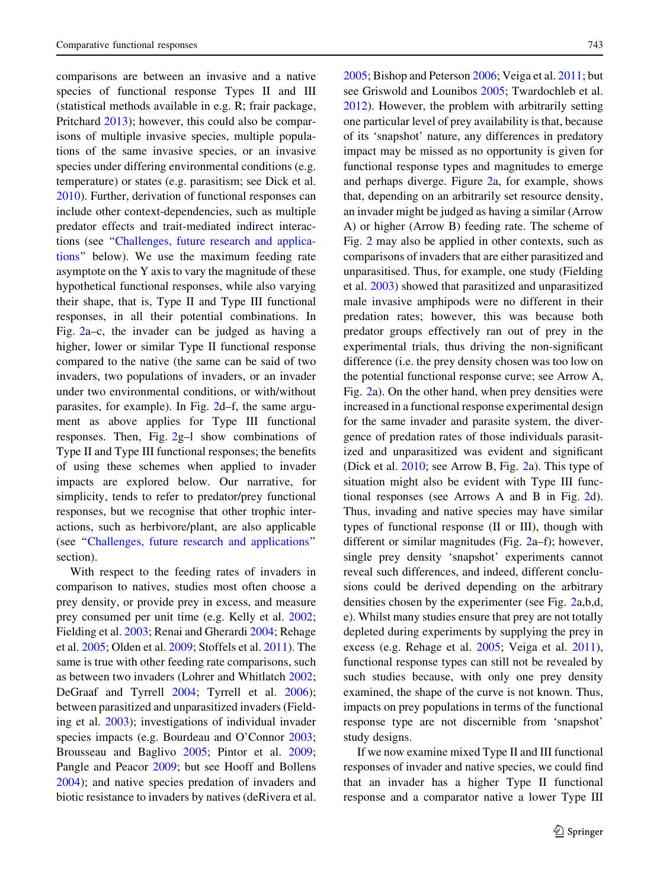comparisons are between an invasive and a native species of functional response Types II and III (statistical methods available in e.g. R; frair package, Pritchard [2013](#page-17-0)); however, this could also be comparisons of multiple invasive species, multiple populations of the same invasive species, or an invasive species under differing environmental conditions (e.g. temperature) or states (e.g. parasitism; see Dick et al. [2010\)](#page-15-0). Further, derivation of functional responses can include other context-dependencies, such as multiple predator effects and trait-mediated indirect interactions (see ''[Challenges, future research and applica](#page-12-0)[tions](#page-12-0)'' below). We use the maximum feeding rate asymptote on the Y axis to vary the magnitude of these hypothetical functional responses, while also varying their shape, that is, Type II and Type III functional responses, in all their potential combinations. In Fig. [2a](#page-10-0)–c, the invader can be judged as having a higher, lower or similar Type II functional response compared to the native (the same can be said of two invaders, two populations of invaders, or an invader under two environmental conditions, or with/without parasites, for example). In Fig. [2](#page-10-0)d–f, the same argument as above applies for Type III functional responses. Then, Fig. [2g](#page-10-0)–l show combinations of Type II and Type III functional responses; the benefits of using these schemes when applied to invader impacts are explored below. Our narrative, for simplicity, tends to refer to predator/prey functional responses, but we recognise that other trophic interactions, such as herbivore/plant, are also applicable (see ''[Challenges, future research and applications'](#page-12-0)' section).

With respect to the feeding rates of invaders in comparison to natives, studies most often choose a prey density, or provide prey in excess, and measure prey consumed per unit time (e.g. Kelly et al. [2002](#page-16-0); Fielding et al. [2003](#page-15-0); Renai and Gherardi [2004](#page-17-0); Rehage et al. [2005;](#page-17-0) Olden et al. [2009;](#page-17-0) Stoffels et al. [2011\)](#page-18-0). The same is true with other feeding rate comparisons, such as between two invaders (Lohrer and Whitlatch [2002](#page-16-0); DeGraaf and Tyrrell [2004;](#page-15-0) Tyrrell et al. [2006](#page-18-0)); between parasitized and unparasitized invaders (Fielding et al. [2003](#page-15-0)); investigations of individual invader species impacts (e.g. Bourdeau and O'Connor [2003](#page-15-0); Brousseau and Baglivo [2005;](#page-15-0) Pintor et al. [2009](#page-17-0); Pangle and Peacor [2009;](#page-17-0) but see Hooff and Bollens [2004\)](#page-16-0); and native species predation of invaders and biotic resistance to invaders by natives (deRivera et al.

[2005;](#page-15-0) Bishop and Peterson [2006;](#page-14-0) Veiga et al. [2011;](#page-18-0) but see Griswold and Lounibos [2005;](#page-15-0) Twardochleb et al. [2012\)](#page-18-0). However, the problem with arbitrarily setting one particular level of prey availability is that, because of its 'snapshot' nature, any differences in predatory impact may be missed as no opportunity is given for functional response types and magnitudes to emerge and perhaps diverge. Figure [2a](#page-10-0), for example, shows that, depending on an arbitrarily set resource density, an invader might be judged as having a similar (Arrow A) or higher (Arrow B) feeding rate. The scheme of Fig. [2](#page-10-0) may also be applied in other contexts, such as comparisons of invaders that are either parasitized and unparasitised. Thus, for example, one study (Fielding et al. [2003](#page-15-0)) showed that parasitized and unparasitized male invasive amphipods were no different in their predation rates; however, this was because both predator groups effectively ran out of prey in the experimental trials, thus driving the non-significant difference (i.e. the prey density chosen was too low on the potential functional response curve; see Arrow A, Fig. [2a](#page-10-0)). On the other hand, when prey densities were increased in a functional response experimental design for the same invader and parasite system, the divergence of predation rates of those individuals parasitized and unparasitized was evident and significant (Dick et al. [2010;](#page-15-0) see Arrow B, Fig. [2a](#page-10-0)). This type of situation might also be evident with Type III functional responses (see Arrows A and B in Fig. [2](#page-10-0)d). Thus, invading and native species may have similar types of functional response (II or III), though with different or similar magnitudes (Fig. [2](#page-10-0)a–f); however, single prey density 'snapshot' experiments cannot reveal such differences, and indeed, different conclusions could be derived depending on the arbitrary densities chosen by the experimenter (see Fig. [2](#page-10-0)a,b,d, e). Whilst many studies ensure that prey are not totally depleted during experiments by supplying the prey in excess (e.g. Rehage et al. [2005](#page-17-0); Veiga et al. [2011](#page-18-0)), functional response types can still not be revealed by such studies because, with only one prey density examined, the shape of the curve is not known. Thus, impacts on prey populations in terms of the functional response type are not discernible from 'snapshot' study designs.

If we now examine mixed Type II and III functional responses of invader and native species, we could find that an invader has a higher Type II functional response and a comparator native a lower Type III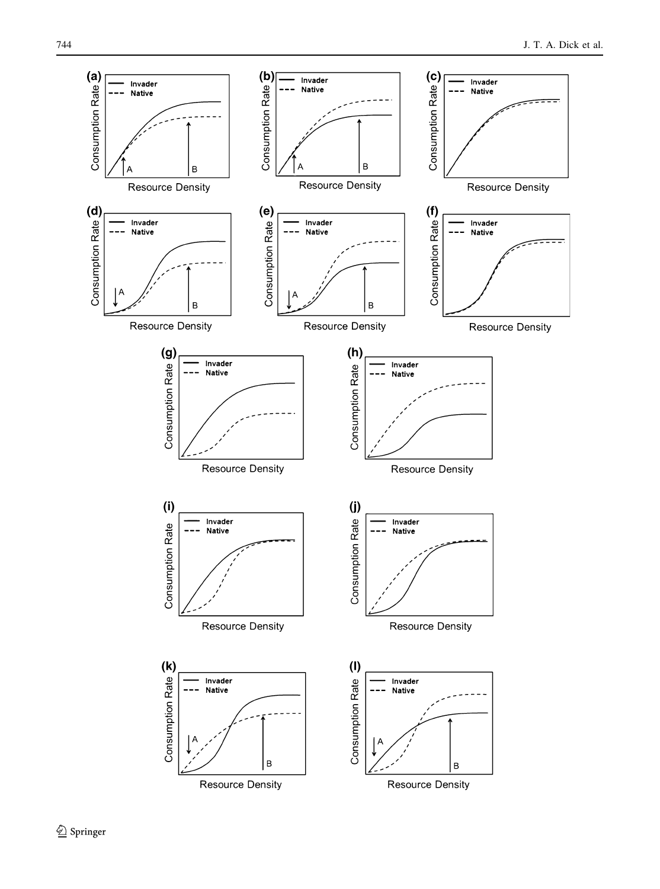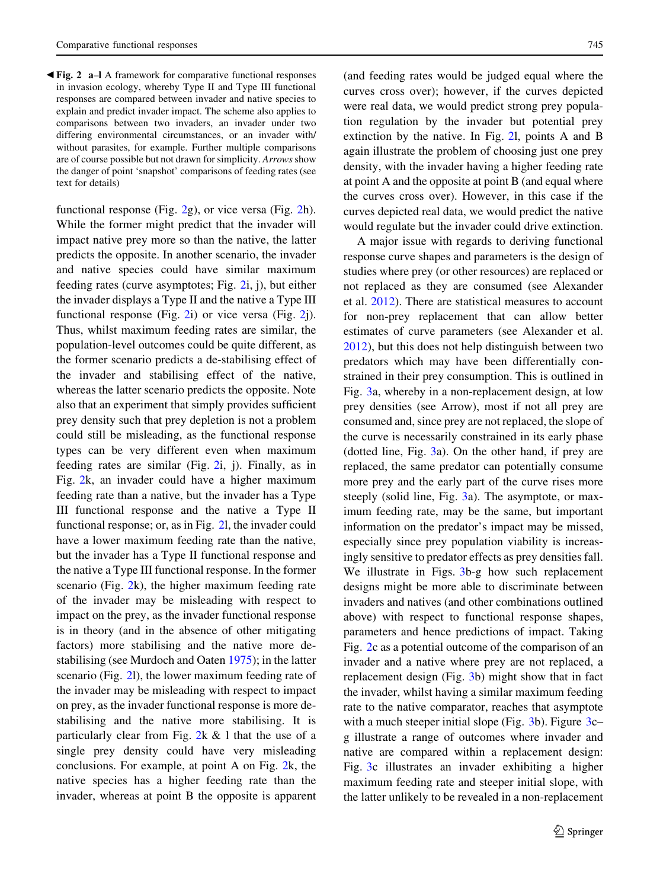<span id="page-10-0"></span>Fig. 2 a–l A framework for comparative functional responses b in invasion ecology, whereby Type II and Type III functional responses are compared between invader and native species to explain and predict invader impact. The scheme also applies to comparisons between two invaders, an invader under two differing environmental circumstances, or an invader with/ without parasites, for example. Further multiple comparisons are of course possible but not drawn for simplicity. Arrows show the danger of point 'snapshot' comparisons of feeding rates (see text for details)

functional response (Fig. 2g), or vice versa (Fig. 2h). While the former might predict that the invader will impact native prey more so than the native, the latter predicts the opposite. In another scenario, the invader and native species could have similar maximum feeding rates (curve asymptotes; Fig. 2i, j), but either the invader displays a Type II and the native a Type III functional response (Fig. 2i) or vice versa (Fig. 2j). Thus, whilst maximum feeding rates are similar, the population-level outcomes could be quite different, as the former scenario predicts a de-stabilising effect of the invader and stabilising effect of the native, whereas the latter scenario predicts the opposite. Note also that an experiment that simply provides sufficient prey density such that prey depletion is not a problem could still be misleading, as the functional response types can be very different even when maximum feeding rates are similar (Fig. 2i, j). Finally, as in Fig. 2k, an invader could have a higher maximum feeding rate than a native, but the invader has a Type III functional response and the native a Type II functional response; or, as in Fig. 2l, the invader could have a lower maximum feeding rate than the native, but the invader has a Type II functional response and the native a Type III functional response. In the former scenario (Fig. 2k), the higher maximum feeding rate of the invader may be misleading with respect to impact on the prey, as the invader functional response is in theory (and in the absence of other mitigating factors) more stabilising and the native more destabilising (see Murdoch and Oaten [1975](#page-17-0)); in the latter scenario (Fig. 2l), the lower maximum feeding rate of the invader may be misleading with respect to impact on prey, as the invader functional response is more destabilising and the native more stabilising. It is particularly clear from Fig.  $2k \& 1$  that the use of a single prey density could have very misleading conclusions. For example, at point A on Fig. 2k, the native species has a higher feeding rate than the invader, whereas at point B the opposite is apparent

(and feeding rates would be judged equal where the curves cross over); however, if the curves depicted were real data, we would predict strong prey population regulation by the invader but potential prey extinction by the native. In Fig. 2l, points A and B again illustrate the problem of choosing just one prey density, with the invader having a higher feeding rate at point A and the opposite at point B (and equal where the curves cross over). However, in this case if the curves depicted real data, we would predict the native would regulate but the invader could drive extinction.

A major issue with regards to deriving functional response curve shapes and parameters is the design of studies where prey (or other resources) are replaced or not replaced as they are consumed (see Alexander et al. [2012\)](#page-14-0). There are statistical measures to account for non-prey replacement that can allow better estimates of curve parameters (see Alexander et al. [2012\)](#page-14-0), but this does not help distinguish between two predators which may have been differentially constrained in their prey consumption. This is outlined in Fig. [3a](#page-11-0), whereby in a non-replacement design, at low prey densities (see Arrow), most if not all prey are consumed and, since prey are not replaced, the slope of the curve is necessarily constrained in its early phase (dotted line, Fig. [3](#page-11-0)a). On the other hand, if prey are replaced, the same predator can potentially consume more prey and the early part of the curve rises more steeply (solid line, Fig. [3](#page-11-0)a). The asymptote, or maximum feeding rate, may be the same, but important information on the predator's impact may be missed, especially since prey population viability is increasingly sensitive to predator effects as prey densities fall. We illustrate in Figs. [3](#page-11-0)b-g how such replacement designs might be more able to discriminate between invaders and natives (and other combinations outlined above) with respect to functional response shapes, parameters and hence predictions of impact. Taking Fig. 2c as a potential outcome of the comparison of an invader and a native where prey are not replaced, a replacement design (Fig. [3b](#page-11-0)) might show that in fact the invader, whilst having a similar maximum feeding rate to the native comparator, reaches that asymptote with a much steeper initial slope (Fig. [3](#page-11-0)b). Figure [3c](#page-11-0)– g illustrate a range of outcomes where invader and native are compared within a replacement design: Fig. [3c](#page-11-0) illustrates an invader exhibiting a higher maximum feeding rate and steeper initial slope, with the latter unlikely to be revealed in a non-replacement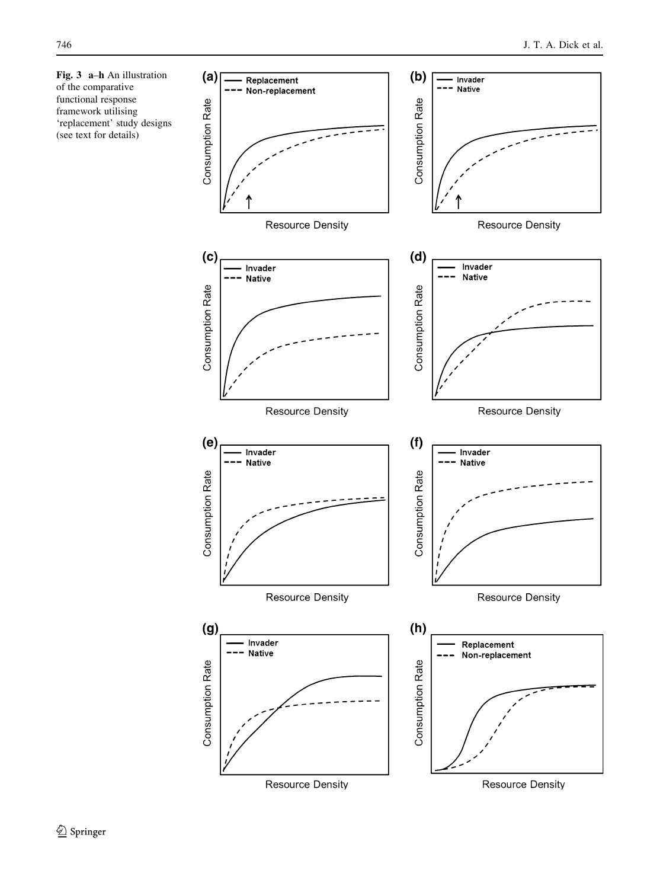<span id="page-11-0"></span>

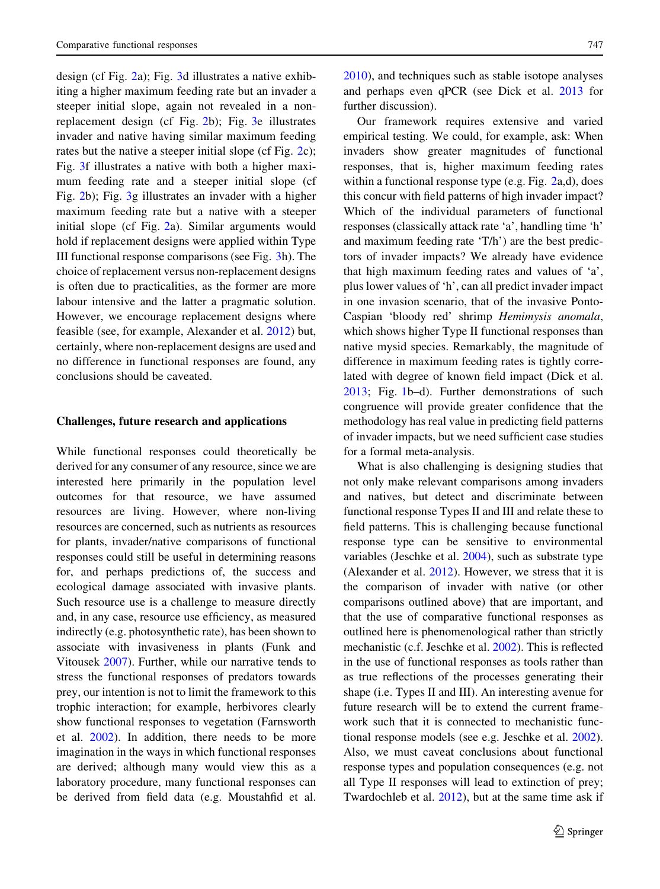<span id="page-12-0"></span>design (cf Fig. [2](#page-10-0)a); Fig. [3d](#page-11-0) illustrates a native exhibiting a higher maximum feeding rate but an invader a steeper initial slope, again not revealed in a nonreplacement design (cf Fig. [2b](#page-10-0)); Fig. [3](#page-11-0)e illustrates invader and native having similar maximum feeding rates but the native a steeper initial slope (cf Fig. [2c](#page-10-0)); Fig. [3f](#page-11-0) illustrates a native with both a higher maximum feeding rate and a steeper initial slope (cf Fig. [2b](#page-10-0)); Fig. [3g](#page-11-0) illustrates an invader with a higher maximum feeding rate but a native with a steeper initial slope (cf Fig. [2](#page-10-0)a). Similar arguments would hold if replacement designs were applied within Type III functional response comparisons (see Fig. [3h](#page-11-0)). The choice of replacement versus non-replacement designs is often due to practicalities, as the former are more labour intensive and the latter a pragmatic solution. However, we encourage replacement designs where feasible (see, for example, Alexander et al. [2012](#page-14-0)) but, certainly, where non-replacement designs are used and no difference in functional responses are found, any conclusions should be caveated.

#### Challenges, future research and applications

While functional responses could theoretically be derived for any consumer of any resource, since we are interested here primarily in the population level outcomes for that resource, we have assumed resources are living. However, where non-living resources are concerned, such as nutrients as resources for plants, invader/native comparisons of functional responses could still be useful in determining reasons for, and perhaps predictions of, the success and ecological damage associated with invasive plants. Such resource use is a challenge to measure directly and, in any case, resource use efficiency, as measured indirectly (e.g. photosynthetic rate), has been shown to associate with invasiveness in plants (Funk and Vitousek [2007\)](#page-15-0). Further, while our narrative tends to stress the functional responses of predators towards prey, our intention is not to limit the framework to this trophic interaction; for example, herbivores clearly show functional responses to vegetation (Farnsworth et al. [2002\)](#page-15-0). In addition, there needs to be more imagination in the ways in which functional responses are derived; although many would view this as a laboratory procedure, many functional responses can be derived from field data (e.g. Moustahfid et al. [2010\)](#page-17-0), and techniques such as stable isotope analyses and perhaps even qPCR (see Dick et al. [2013](#page-15-0) for further discussion).

Our framework requires extensive and varied empirical testing. We could, for example, ask: When invaders show greater magnitudes of functional responses, that is, higher maximum feeding rates within a functional response type (e.g. Fig. [2](#page-10-0)a,d), does this concur with field patterns of high invader impact? Which of the individual parameters of functional responses (classically attack rate 'a', handling time 'h' and maximum feeding rate 'T/h') are the best predictors of invader impacts? We already have evidence that high maximum feeding rates and values of 'a', plus lower values of 'h', can all predict invader impact in one invasion scenario, that of the invasive Ponto-Caspian 'bloody red' shrimp Hemimysis anomala, which shows higher Type II functional responses than native mysid species. Remarkably, the magnitude of difference in maximum feeding rates is tightly correlated with degree of known field impact (Dick et al. [2013;](#page-15-0) Fig. [1b](#page-2-0)–d). Further demonstrations of such congruence will provide greater confidence that the methodology has real value in predicting field patterns of invader impacts, but we need sufficient case studies for a formal meta-analysis.

What is also challenging is designing studies that not only make relevant comparisons among invaders and natives, but detect and discriminate between functional response Types II and III and relate these to field patterns. This is challenging because functional response type can be sensitive to environmental variables (Jeschke et al. [2004\)](#page-16-0), such as substrate type (Alexander et al. [2012](#page-14-0)). However, we stress that it is the comparison of invader with native (or other comparisons outlined above) that are important, and that the use of comparative functional responses as outlined here is phenomenological rather than strictly mechanistic (c.f. Jeschke et al. [2002\)](#page-16-0). This is reflected in the use of functional responses as tools rather than as true reflections of the processes generating their shape (i.e. Types II and III). An interesting avenue for future research will be to extend the current framework such that it is connected to mechanistic functional response models (see e.g. Jeschke et al. [2002](#page-16-0)). Also, we must caveat conclusions about functional response types and population consequences (e.g. not all Type II responses will lead to extinction of prey; Twardochleb et al. [2012\)](#page-18-0), but at the same time ask if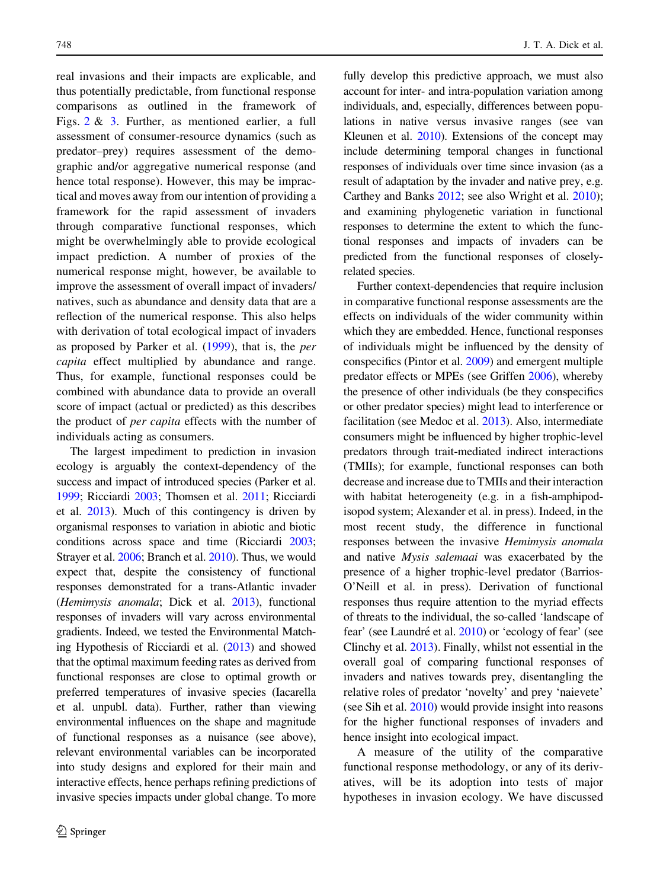real invasions and their impacts are explicable, and thus potentially predictable, from functional response comparisons as outlined in the framework of Figs. [2](#page-10-0) & [3](#page-11-0). Further, as mentioned earlier, a full assessment of consumer-resource dynamics (such as predator–prey) requires assessment of the demographic and/or aggregative numerical response (and hence total response). However, this may be impractical and moves away from our intention of providing a framework for the rapid assessment of invaders through comparative functional responses, which might be overwhelmingly able to provide ecological impact prediction. A number of proxies of the numerical response might, however, be available to improve the assessment of overall impact of invaders/ natives, such as abundance and density data that are a reflection of the numerical response. This also helps with derivation of total ecological impact of invaders as proposed by Parker et al. [\(1999](#page-17-0)), that is, the per capita effect multiplied by abundance and range. Thus, for example, functional responses could be combined with abundance data to provide an overall score of impact (actual or predicted) as this describes the product of *per capita* effects with the number of individuals acting as consumers.

The largest impediment to prediction in invasion ecology is arguably the context-dependency of the success and impact of introduced species (Parker et al. [1999](#page-17-0); Ricciardi [2003](#page-17-0); Thomsen et al. [2011](#page-18-0); Ricciardi et al. [2013\)](#page-17-0). Much of this contingency is driven by organismal responses to variation in abiotic and biotic conditions across space and time (Ricciardi [2003](#page-17-0); Strayer et al. [2006](#page-18-0); Branch et al. [2010](#page-15-0)). Thus, we would expect that, despite the consistency of functional responses demonstrated for a trans-Atlantic invader (Hemimysis anomala; Dick et al. [2013\)](#page-15-0), functional responses of invaders will vary across environmental gradients. Indeed, we tested the Environmental Matching Hypothesis of Ricciardi et al. [\(2013\)](#page-17-0) and showed that the optimal maximum feeding rates as derived from functional responses are close to optimal growth or preferred temperatures of invasive species (Iacarella et al. unpubl. data). Further, rather than viewing environmental influences on the shape and magnitude of functional responses as a nuisance (see above), relevant environmental variables can be incorporated into study designs and explored for their main and interactive effects, hence perhaps refining predictions of invasive species impacts under global change. To more

fully develop this predictive approach, we must also account for inter- and intra-population variation among individuals, and, especially, differences between populations in native versus invasive ranges (see van Kleunen et al. [2010](#page-18-0)). Extensions of the concept may include determining temporal changes in functional responses of individuals over time since invasion (as a result of adaptation by the invader and native prey, e.g. Carthey and Banks [2012](#page-15-0); see also Wright et al. [2010](#page-18-0)); and examining phylogenetic variation in functional responses to determine the extent to which the functional responses and impacts of invaders can be predicted from the functional responses of closelyrelated species.

Further context-dependencies that require inclusion in comparative functional response assessments are the effects on individuals of the wider community within which they are embedded. Hence, functional responses of individuals might be influenced by the density of conspecifics (Pintor et al. [2009\)](#page-17-0) and emergent multiple predator effects or MPEs (see Griffen [2006\)](#page-15-0), whereby the presence of other individuals (be they conspecifics or other predator species) might lead to interference or facilitation (see Medoc et al. [2013](#page-16-0)). Also, intermediate consumers might be influenced by higher trophic-level predators through trait-mediated indirect interactions (TMIIs); for example, functional responses can both decrease and increase due to TMIIs and their interaction with habitat heterogeneity (e.g. in a fish-amphipodisopod system; Alexander et al. in press). Indeed, in the most recent study, the difference in functional responses between the invasive Hemimysis anomala and native Mysis salemaai was exacerbated by the presence of a higher trophic-level predator (Barrios-O'Neill et al. in press). Derivation of functional responses thus require attention to the myriad effects of threats to the individual, the so-called 'landscape of fear' (see Laundré et al. [2010](#page-16-0)) or 'ecology of fear' (see Clinchy et al. [2013\)](#page-15-0). Finally, whilst not essential in the overall goal of comparing functional responses of invaders and natives towards prey, disentangling the relative roles of predator 'novelty' and prey 'naievete' (see Sih et al. [2010](#page-17-0)) would provide insight into reasons for the higher functional responses of invaders and hence insight into ecological impact.

A measure of the utility of the comparative functional response methodology, or any of its derivatives, will be its adoption into tests of major hypotheses in invasion ecology. We have discussed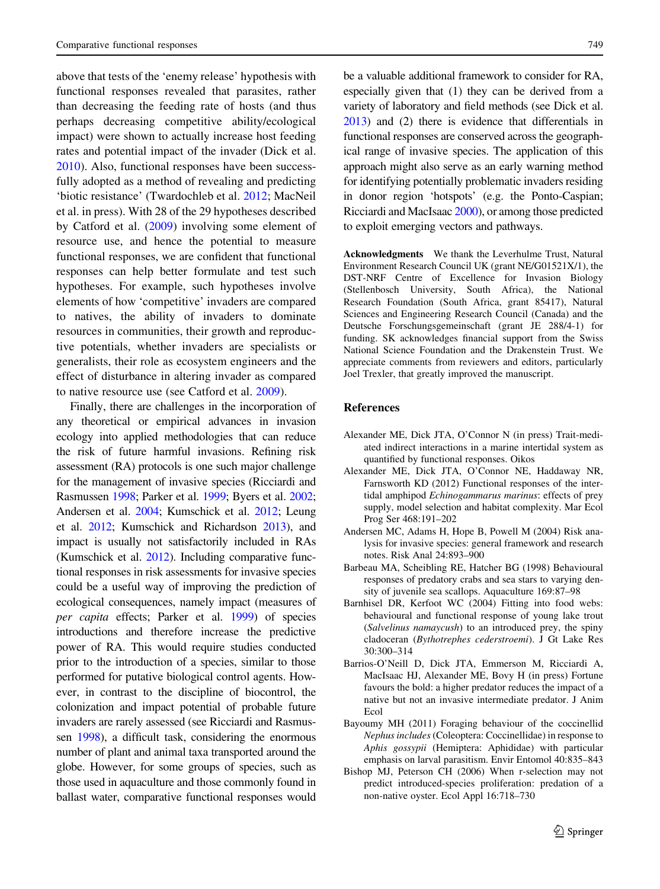<span id="page-14-0"></span>above that tests of the 'enemy release' hypothesis with functional responses revealed that parasites, rather than decreasing the feeding rate of hosts (and thus perhaps decreasing competitive ability/ecological impact) were shown to actually increase host feeding rates and potential impact of the invader (Dick et al. [2010\)](#page-15-0). Also, functional responses have been successfully adopted as a method of revealing and predicting 'biotic resistance' (Twardochleb et al. [2012;](#page-18-0) MacNeil et al. in press). With 28 of the 29 hypotheses described by Catford et al. [\(2009](#page-15-0)) involving some element of resource use, and hence the potential to measure functional responses, we are confident that functional responses can help better formulate and test such hypotheses. For example, such hypotheses involve elements of how 'competitive' invaders are compared to natives, the ability of invaders to dominate resources in communities, their growth and reproductive potentials, whether invaders are specialists or generalists, their role as ecosystem engineers and the effect of disturbance in altering invader as compared to native resource use (see Catford et al. [2009](#page-15-0)).

Finally, there are challenges in the incorporation of any theoretical or empirical advances in invasion ecology into applied methodologies that can reduce the risk of future harmful invasions. Refining risk assessment (RA) protocols is one such major challenge for the management of invasive species (Ricciardi and Rasmussen [1998](#page-17-0); Parker et al. [1999](#page-17-0); Byers et al. [2002](#page-15-0); Andersen et al. 2004; Kumschick et al. [2012;](#page-16-0) Leung et al. [2012;](#page-16-0) Kumschick and Richardson [2013](#page-16-0)), and impact is usually not satisfactorily included in RAs (Kumschick et al. [2012\)](#page-16-0). Including comparative functional responses in risk assessments for invasive species could be a useful way of improving the prediction of ecological consequences, namely impact (measures of per capita effects; Parker et al. [1999\)](#page-17-0) of species introductions and therefore increase the predictive power of RA. This would require studies conducted prior to the introduction of a species, similar to those performed for putative biological control agents. However, in contrast to the discipline of biocontrol, the colonization and impact potential of probable future invaders are rarely assessed (see Ricciardi and Rasmussen [1998](#page-17-0)), a difficult task, considering the enormous number of plant and animal taxa transported around the globe. However, for some groups of species, such as those used in aquaculture and those commonly found in ballast water, comparative functional responses would

be a valuable additional framework to consider for RA, especially given that (1) they can be derived from a variety of laboratory and field methods (see Dick et al. [2013](#page-15-0)) and (2) there is evidence that differentials in functional responses are conserved across the geographical range of invasive species. The application of this approach might also serve as an early warning method for identifying potentially problematic invaders residing in donor region 'hotspots' (e.g. the Ponto-Caspian; Ricciardi and MacIsaac [2000](#page-17-0)), or among those predicted to exploit emerging vectors and pathways.

Acknowledgments We thank the Leverhulme Trust, Natural Environment Research Council UK (grant NE/G01521X/1), the DST-NRF Centre of Excellence for Invasion Biology (Stellenbosch University, South Africa), the National Research Foundation (South Africa, grant 85417), Natural Sciences and Engineering Research Council (Canada) and the Deutsche Forschungsgemeinschaft (grant JE 288/4-1) for funding. SK acknowledges financial support from the Swiss National Science Foundation and the Drakenstein Trust. We appreciate comments from reviewers and editors, particularly Joel Trexler, that greatly improved the manuscript.

### References

- Alexander ME, Dick JTA, O'Connor N (in press) Trait-mediated indirect interactions in a marine intertidal system as quantified by functional responses. Oikos
- Alexander ME, Dick JTA, O'Connor NE, Haddaway NR, Farnsworth KD (2012) Functional responses of the intertidal amphipod Echinogammarus marinus: effects of prey supply, model selection and habitat complexity. Mar Ecol Prog Ser 468:191–202
- Andersen MC, Adams H, Hope B, Powell M (2004) Risk analysis for invasive species: general framework and research notes. Risk Anal 24:893–900
- Barbeau MA, Scheibling RE, Hatcher BG (1998) Behavioural responses of predatory crabs and sea stars to varying density of juvenile sea scallops. Aquaculture 169:87–98
- Barnhisel DR, Kerfoot WC (2004) Fitting into food webs: behavioural and functional response of young lake trout (Salvelinus namaycush) to an introduced prey, the spiny cladoceran (Bythotrephes cederstroemi). J Gt Lake Res 30:300–314
- Barrios-O'Neill D, Dick JTA, Emmerson M, Ricciardi A, MacIsaac HJ, Alexander ME, Bovy H (in press) Fortune favours the bold: a higher predator reduces the impact of a native but not an invasive intermediate predator. J Anim Ecol
- Bayoumy MH (2011) Foraging behaviour of the coccinellid Nephus includes(Coleoptera: Coccinellidae) in response to Aphis gossypii (Hemiptera: Aphididae) with particular emphasis on larval parasitism. Envir Entomol 40:835–843
- Bishop MJ, Peterson CH (2006) When r-selection may not predict introduced-species proliferation: predation of a non-native oyster. Ecol Appl 16:718–730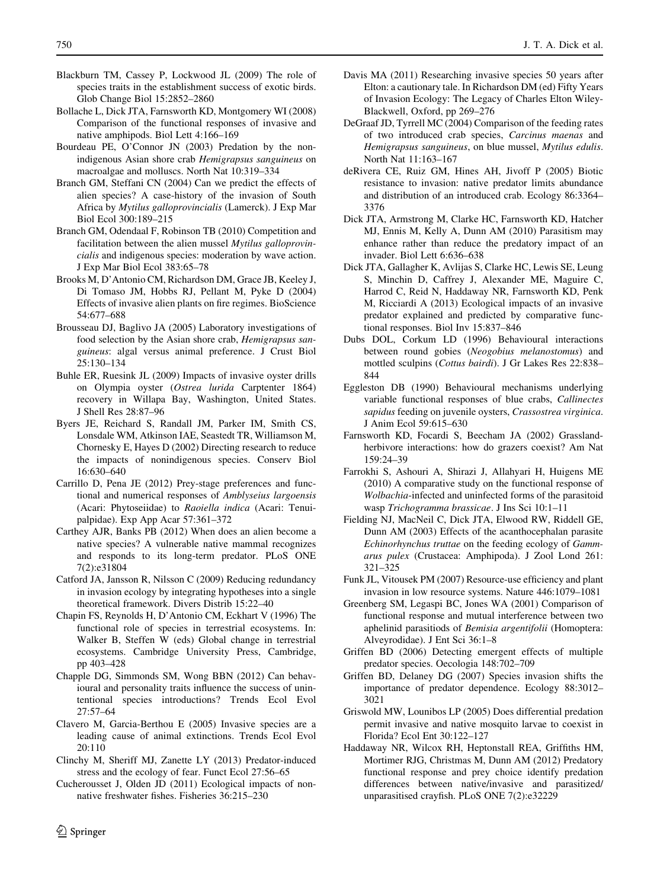- <span id="page-15-0"></span>Blackburn TM, Cassey P, Lockwood JL (2009) The role of species traits in the establishment success of exotic birds. Glob Change Biol 15:2852–2860
- Bollache L, Dick JTA, Farnsworth KD, Montgomery WI (2008) Comparison of the functional responses of invasive and native amphipods. Biol Lett 4:166–169
- Bourdeau PE, O'Connor JN (2003) Predation by the nonindigenous Asian shore crab Hemigrapsus sanguineus on macroalgae and molluscs. North Nat 10:319–334
- Branch GM, Steffani CN (2004) Can we predict the effects of alien species? A case-history of the invasion of South Africa by Mytilus galloprovincialis (Lamerck). J Exp Mar Biol Ecol 300:189–215
- Branch GM, Odendaal F, Robinson TB (2010) Competition and facilitation between the alien mussel Mytilus galloprovincialis and indigenous species: moderation by wave action. J Exp Mar Biol Ecol 383:65–78
- Brooks M, D'Antonio CM, Richardson DM, Grace JB, Keeley J, Di Tomaso JM, Hobbs RJ, Pellant M, Pyke D (2004) Effects of invasive alien plants on fire regimes. BioScience 54:677–688
- Brousseau DJ, Baglivo JA (2005) Laboratory investigations of food selection by the Asian shore crab, Hemigrapsus sanguineus: algal versus animal preference. J Crust Biol 25:130–134
- Buhle ER, Ruesink JL (2009) Impacts of invasive oyster drills on Olympia oyster (Ostrea lurida Carptenter 1864) recovery in Willapa Bay, Washington, United States. J Shell Res 28:87–96
- Byers JE, Reichard S, Randall JM, Parker IM, Smith CS, Lonsdale WM, Atkinson IAE, Seastedt TR, Williamson M, Chornesky E, Hayes D (2002) Directing research to reduce the impacts of nonindigenous species. Conserv Biol 16:630–640
- Carrillo D, Pena JE (2012) Prey-stage preferences and functional and numerical responses of Amblyseius largoensis (Acari: Phytoseiidae) to Raoiella indica (Acari: Tenuipalpidae). Exp App Acar 57:361–372
- Carthey AJR, Banks PB (2012) When does an alien become a native species? A vulnerable native mammal recognizes and responds to its long-term predator. PLoS ONE 7(2):e31804
- Catford JA, Jansson R, Nilsson C (2009) Reducing redundancy in invasion ecology by integrating hypotheses into a single theoretical framework. Divers Distrib 15:22–40
- Chapin FS, Reynolds H, D'Antonio CM, Eckhart V (1996) The functional role of species in terrestrial ecosystems. In: Walker B, Steffen W (eds) Global change in terrestrial ecosystems. Cambridge University Press, Cambridge, pp 403–428
- Chapple DG, Simmonds SM, Wong BBN (2012) Can behavioural and personality traits influence the success of unintentional species introductions? Trends Ecol Evol 27:57–64
- Clavero M, Garcia-Berthou E (2005) Invasive species are a leading cause of animal extinctions. Trends Ecol Evol 20:110
- Clinchy M, Sheriff MJ, Zanette LY (2013) Predator-induced stress and the ecology of fear. Funct Ecol 27:56–65
- Cucherousset J, Olden JD (2011) Ecological impacts of nonnative freshwater fishes. Fisheries 36:215–230
- Davis MA (2011) Researching invasive species 50 years after Elton: a cautionary tale. In Richardson DM (ed) Fifty Years of Invasion Ecology: The Legacy of Charles Elton Wiley-Blackwell, Oxford, pp 269–276
- DeGraaf JD, Tyrrell MC (2004) Comparison of the feeding rates of two introduced crab species, Carcinus maenas and Hemigrapsus sanguineus, on blue mussel, Mytilus edulis. North Nat 11:163–167
- deRivera CE, Ruiz GM, Hines AH, Jivoff P (2005) Biotic resistance to invasion: native predator limits abundance and distribution of an introduced crab. Ecology 86:3364– 3376
- Dick JTA, Armstrong M, Clarke HC, Farnsworth KD, Hatcher MJ, Ennis M, Kelly A, Dunn AM (2010) Parasitism may enhance rather than reduce the predatory impact of an invader. Biol Lett 6:636–638
- Dick JTA, Gallagher K, Avlijas S, Clarke HC, Lewis SE, Leung S, Minchin D, Caffrey J, Alexander ME, Maguire C, Harrod C, Reid N, Haddaway NR, Farnsworth KD, Penk M, Ricciardi A (2013) Ecological impacts of an invasive predator explained and predicted by comparative functional responses. Biol Inv 15:837–846
- Dubs DOL, Corkum LD (1996) Behavioural interactions between round gobies (Neogobius melanostomus) and mottled sculpins (Cottus bairdi). J Gr Lakes Res 22:838– 844
- Eggleston DB (1990) Behavioural mechanisms underlying variable functional responses of blue crabs, Callinectes sapidus feeding on juvenile oysters, Crassostrea virginica. J Anim Ecol 59:615–630
- Farnsworth KD, Focardi S, Beecham JA (2002) Grasslandherbivore interactions: how do grazers coexist? Am Nat 159:24–39
- Farrokhi S, Ashouri A, Shirazi J, Allahyari H, Huigens ME (2010) A comparative study on the functional response of Wolbachia-infected and uninfected forms of the parasitoid wasp Trichogramma brassicae. J Ins Sci 10:1–11
- Fielding NJ, MacNeil C, Dick JTA, Elwood RW, Riddell GE, Dunn AM (2003) Effects of the acanthocephalan parasite Echinorhynchus truttae on the feeding ecology of Gammarus pulex (Crustacea: Amphipoda). J Zool Lond 261: 321–325
- Funk JL, Vitousek PM (2007) Resource-use efficiency and plant invasion in low resource systems. Nature 446:1079–1081
- Greenberg SM, Legaspi BC, Jones WA (2001) Comparison of functional response and mutual interference between two aphelinid parasitiods of Bemisia argentifolii (Homoptera: Alveyrodidae). J Ent Sci 36:1–8
- Griffen BD (2006) Detecting emergent effects of multiple predator species. Oecologia 148:702–709
- Griffen BD, Delaney DG (2007) Species invasion shifts the importance of predator dependence. Ecology 88:3012– 3021
- Griswold MW, Lounibos LP (2005) Does differential predation permit invasive and native mosquito larvae to coexist in Florida? Ecol Ent 30:122–127
- Haddaway NR, Wilcox RH, Heptonstall REA, Griffiths HM, Mortimer RJG, Christmas M, Dunn AM (2012) Predatory functional response and prey choice identify predation differences between native/invasive and parasitized/ unparasitised crayfish. PLoS ONE 7(2):e32229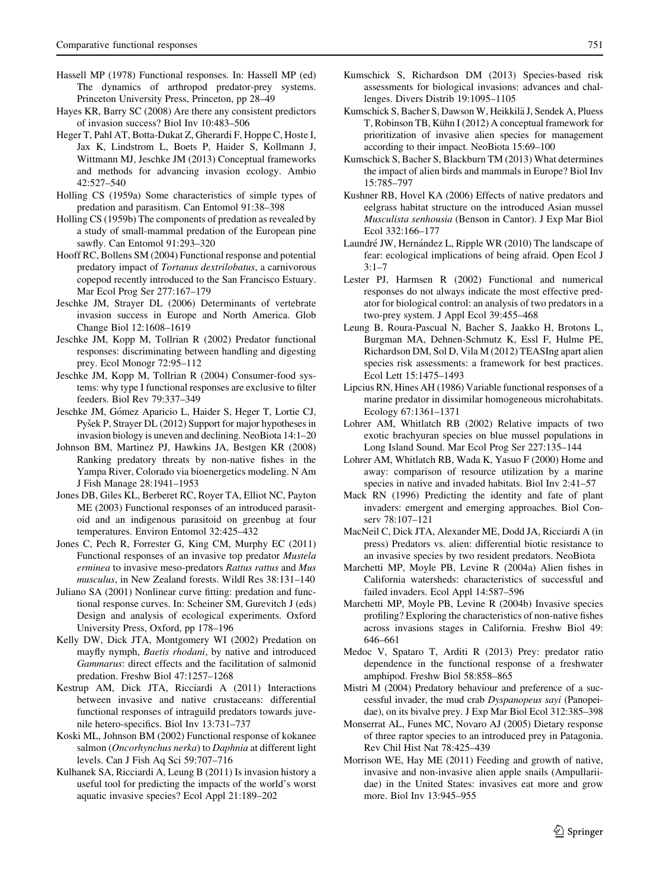- <span id="page-16-0"></span>Hassell MP (1978) Functional responses. In: Hassell MP (ed) The dynamics of arthropod predator-prey systems. Princeton University Press, Princeton, pp 28–49
- Hayes KR, Barry SC (2008) Are there any consistent predictors of invasion success? Biol Inv 10:483–506
- Heger T, Pahl AT, Botta-Dukat Z, Gherardi F, Hoppe C, Hoste I, Jax K, Lindstrom L, Boets P, Haider S, Kollmann J, Wittmann MJ, Jeschke JM (2013) Conceptual frameworks and methods for advancing invasion ecology. Ambio 42:527–540
- Holling CS (1959a) Some characteristics of simple types of predation and parasitism. Can Entomol 91:38–398
- Holling CS (1959b) The components of predation as revealed by a study of small-mammal predation of the European pine sawfly. Can Entomol 91:293–320
- Hooff RC, Bollens SM (2004) Functional response and potential predatory impact of Tortanus dextrilobatus, a carnivorous copepod recently introduced to the San Francisco Estuary. Mar Ecol Prog Ser 277:167–179
- Jeschke JM, Strayer DL (2006) Determinants of vertebrate invasion success in Europe and North America. Glob Change Biol 12:1608–1619
- Jeschke JM, Kopp M, Tollrian R (2002) Predator functional responses: discriminating between handling and digesting prey. Ecol Monogr 72:95–112
- Jeschke JM, Kopp M, Tollrian R (2004) Consumer-food systems: why type I functional responses are exclusive to filter feeders. Biol Rev 79:337–349
- Jeschke JM, Gómez Aparicio L, Haider S, Heger T, Lortie CJ, Pyšek P, Strayer DL (2012) Support for major hypotheses in invasion biology is uneven and declining. NeoBiota 14:1–20
- Johnson BM, Martinez PJ, Hawkins JA, Bestgen KR (2008) Ranking predatory threats by non-native fishes in the Yampa River, Colorado via bioenergetics modeling. N Am J Fish Manage 28:1941–1953
- Jones DB, Giles KL, Berberet RC, Royer TA, Elliot NC, Payton ME (2003) Functional responses of an introduced parasitoid and an indigenous parasitoid on greenbug at four temperatures. Environ Entomol 32:425–432
- Jones C, Pech R, Forrester G, King CM, Murphy EC (2011) Functional responses of an invasive top predator Mustela erminea to invasive meso-predators Rattus rattus and Mus musculus, in New Zealand forests. Wildl Res 38:131–140
- Juliano SA (2001) Nonlinear curve fitting: predation and functional response curves. In: Scheiner SM, Gurevitch J (eds) Design and analysis of ecological experiments. Oxford University Press, Oxford, pp 178–196
- Kelly DW, Dick JTA, Montgomery WI (2002) Predation on mayfly nymph, Baetis rhodani, by native and introduced Gammarus: direct effects and the facilitation of salmonid predation. Freshw Biol 47:1257–1268
- Kestrup AM, Dick JTA, Ricciardi A (2011) Interactions between invasive and native crustaceans: differential functional responses of intraguild predators towards juvenile hetero-specifics. Biol Inv 13:731–737
- Koski ML, Johnson BM (2002) Functional response of kokanee salmon (Oncorhynchus nerka) to Daphnia at different light levels. Can J Fish Aq Sci 59:707–716
- Kulhanek SA, Ricciardi A, Leung B (2011) Is invasion history a useful tool for predicting the impacts of the world's worst aquatic invasive species? Ecol Appl 21:189–202
- Kumschick S, Richardson DM (2013) Species-based risk assessments for biological invasions: advances and challenges. Divers Distrib 19:1095–1105
- Kumschick S, Bacher S, Dawson W, Heikkilä J, Sendek A, Pluess T, Robinson TB, Kühn I (2012) A conceptual framework for prioritization of invasive alien species for management according to their impact. NeoBiota 15:69–100
- Kumschick S, Bacher S, Blackburn TM (2013) What determines the impact of alien birds and mammals in Europe? Biol Inv 15:785–797
- Kushner RB, Hovel KA (2006) Effects of native predators and eelgrass habitat structure on the introduced Asian mussel Musculista senhousia (Benson in Cantor). J Exp Mar Biol Ecol 332:166–177
- Laundré JW, Hernández L, Ripple WR (2010) The landscape of fear: ecological implications of being afraid. Open Ecol J  $3:1-7$
- Lester PJ, Harmsen R (2002) Functional and numerical responses do not always indicate the most effective predator for biological control: an analysis of two predators in a two-prey system. J Appl Ecol 39:455–468
- Leung B, Roura-Pascual N, Bacher S, Jaakko H, Brotons L, Burgman MA, Dehnen-Schmutz K, Essl F, Hulme PE, Richardson DM, Sol D, Vila M (2012) TEASIng apart alien species risk assessments: a framework for best practices. Ecol Lett 15:1475–1493
- Lipcius RN, Hines AH (1986) Variable functional responses of a marine predator in dissimilar homogeneous microhabitats. Ecology 67:1361–1371
- Lohrer AM, Whitlatch RB (2002) Relative impacts of two exotic brachyuran species on blue mussel populations in Long Island Sound. Mar Ecol Prog Ser 227:135–144
- Lohrer AM, Whitlatch RB, Wada K, Yasuo F (2000) Home and away: comparison of resource utilization by a marine species in native and invaded habitats. Biol Inv 2:41–57
- Mack RN (1996) Predicting the identity and fate of plant invaders: emergent and emerging approaches. Biol Conserv 78:107–121
- MacNeil C, Dick JTA, Alexander ME, Dodd JA, Ricciardi A (in press) Predators vs. alien: differential biotic resistance to an invasive species by two resident predators. NeoBiota
- Marchetti MP, Moyle PB, Levine R (2004a) Alien fishes in California watersheds: characteristics of successful and failed invaders. Ecol Appl 14:587–596
- Marchetti MP, Moyle PB, Levine R (2004b) Invasive species profiling? Exploring the characteristics of non-native fishes across invasions stages in California. Freshw Biol 49: 646–661
- Medoc V, Spataro T, Arditi R (2013) Prey: predator ratio dependence in the functional response of a freshwater amphipod. Freshw Biol 58:858–865
- Mistri M (2004) Predatory behaviour and preference of a successful invader, the mud crab Dyspanopeus sayi (Panopeidae), on its bivalve prey. J Exp Mar Biol Ecol 312:385–398
- Monserrat AL, Funes MC, Novaro AJ (2005) Dietary response of three raptor species to an introduced prey in Patagonia. Rev Chil Hist Nat 78:425–439
- Morrison WE, Hay ME (2011) Feeding and growth of native, invasive and non-invasive alien apple snails (Ampullariidae) in the United States: invasives eat more and grow more. Biol Inv 13:945–955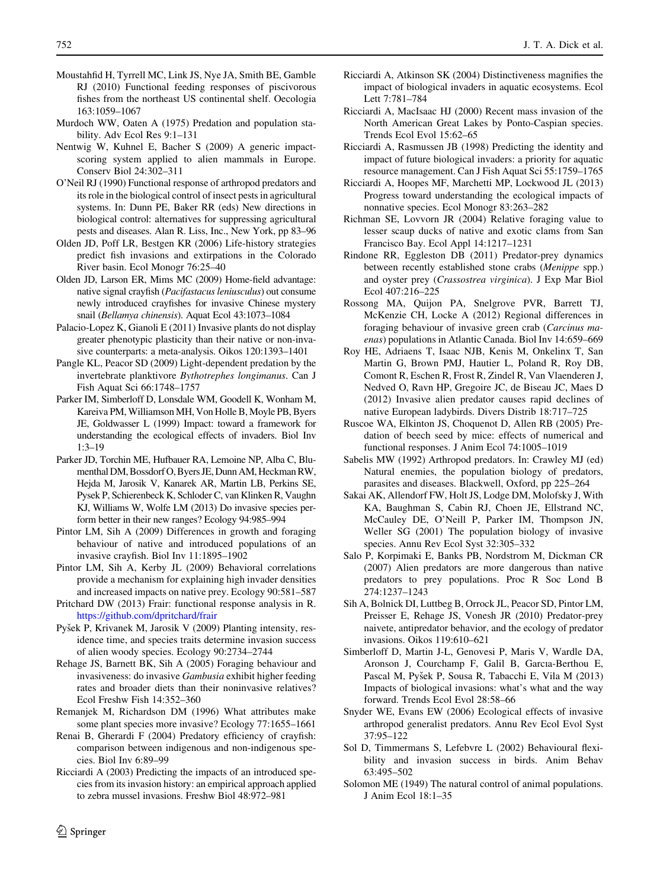- <span id="page-17-0"></span>Moustahfid H, Tyrrell MC, Link JS, Nye JA, Smith BE, Gamble RJ (2010) Functional feeding responses of piscivorous fishes from the northeast US continental shelf. Oecologia 163:1059–1067
- Murdoch WW, Oaten A (1975) Predation and population stability. Adv Ecol Res 9:1–131
- Nentwig W, Kuhnel E, Bacher S (2009) A generic impactscoring system applied to alien mammals in Europe. Conserv Biol 24:302–311
- O'Neil RJ (1990) Functional response of arthropod predators and its role in the biological control of insect pests in agricultural systems. In: Dunn PE, Baker RR (eds) New directions in biological control: alternatives for suppressing agricultural pests and diseases. Alan R. Liss, Inc., New York, pp 83–96
- Olden JD, Poff LR, Bestgen KR (2006) Life-history strategies predict fish invasions and extirpations in the Colorado River basin. Ecol Monogr 76:25–40
- Olden JD, Larson ER, Mims MC (2009) Home-field advantage: native signal crayfish (Pacifastacus leniusculus) out consume newly introduced crayfishes for invasive Chinese mystery snail (Bellamya chinensis). Aquat Ecol 43:1073–1084
- Palacio-Lopez K, Gianoli E (2011) Invasive plants do not display greater phenotypic plasticity than their native or non-invasive counterparts: a meta-analysis. Oikos 120:1393–1401
- Pangle KL, Peacor SD (2009) Light-dependent predation by the invertebrate planktivore Bythotrephes longimanus. Can J Fish Aquat Sci 66:1748–1757
- Parker IM, Simberloff D, Lonsdale WM, Goodell K, Wonham M, Kareiva PM, Williamson MH, Von Holle B, Moyle PB, Byers JE, Goldwasser L (1999) Impact: toward a framework for understanding the ecological effects of invaders. Biol Inv 1:3–19
- Parker JD, Torchin ME, Hufbauer RA, Lemoine NP, Alba C, Blumenthal DM, Bossdorf O, Byers JE, Dunn AM, Heckman RW, Hejda M, Jarosik V, Kanarek AR, Martin LB, Perkins SE, Pysek P, Schierenbeck K, Schloder C, van Klinken R, Vaughn KJ, Williams W, Wolfe LM (2013) Do invasive species perform better in their new ranges? Ecology 94:985–994
- Pintor LM, Sih A (2009) Differences in growth and foraging behaviour of native and introduced populations of an invasive crayfish. Biol Inv 11:1895–1902
- Pintor LM, Sih A, Kerby JL (2009) Behavioral correlations provide a mechanism for explaining high invader densities and increased impacts on native prey. Ecology 90:581–587
- Pritchard DW (2013) Frair: functional response analysis in R. <https://github.com/dpritchard/frair>
- Pyšek P, Krivanek M, Jarosik V (2009) Planting intensity, residence time, and species traits determine invasion success of alien woody species. Ecology 90:2734–2744
- Rehage JS, Barnett BK, Sih A (2005) Foraging behaviour and invasiveness: do invasive Gambusia exhibit higher feeding rates and broader diets than their noninvasive relatives? Ecol Freshw Fish 14:352–360
- Remanjek M, Richardson DM (1996) What attributes make some plant species more invasive? Ecology 77:1655–1661
- Renai B, Gherardi F (2004) Predatory efficiency of crayfish: comparison between indigenous and non-indigenous species. Biol Inv 6:89–99
- Ricciardi A (2003) Predicting the impacts of an introduced species from its invasion history: an empirical approach applied to zebra mussel invasions. Freshw Biol 48:972–981
- Ricciardi A, Atkinson SK (2004) Distinctiveness magnifies the impact of biological invaders in aquatic ecosystems. Ecol Lett 7:781–784
- Ricciardi A, MacIsaac HJ (2000) Recent mass invasion of the North American Great Lakes by Ponto-Caspian species. Trends Ecol Evol 15:62–65
- Ricciardi A, Rasmussen JB (1998) Predicting the identity and impact of future biological invaders: a priority for aquatic resource management. Can J Fish Aquat Sci 55:1759–1765
- Ricciardi A, Hoopes MF, Marchetti MP, Lockwood JL (2013) Progress toward understanding the ecological impacts of nonnative species. Ecol Monogr 83:263–282
- Richman SE, Lovvorn JR (2004) Relative foraging value to lesser scaup ducks of native and exotic clams from San Francisco Bay. Ecol Appl 14:1217–1231
- Rindone RR, Eggleston DB (2011) Predator-prey dynamics between recently established stone crabs (Menippe spp.) and oyster prey (Crassostrea virginica). J Exp Mar Biol Ecol 407:216–225
- Rossong MA, Quijon PA, Snelgrove PVR, Barrett TJ, McKenzie CH, Locke A (2012) Regional differences in foraging behaviour of invasive green crab (Carcinus maenas) populations in Atlantic Canada. Biol Inv 14:659–669
- Roy HE, Adriaens T, Isaac NJB, Kenis M, Onkelinx T, San Martin G, Brown PMJ, Hautier L, Poland R, Roy DB, Comont R, Eschen R, Frost R, Zindel R, Van Vlaenderen J, Nedved O, Ravn HP, Gregoire JC, de Biseau JC, Maes D (2012) Invasive alien predator causes rapid declines of native European ladybirds. Divers Distrib 18:717–725
- Ruscoe WA, Elkinton JS, Choquenot D, Allen RB (2005) Predation of beech seed by mice: effects of numerical and functional responses. J Anim Ecol 74:1005–1019
- Sabelis MW (1992) Arthropod predators. In: Crawley MJ (ed) Natural enemies, the population biology of predators, parasites and diseases. Blackwell, Oxford, pp 225–264
- Sakai AK, Allendorf FW, Holt JS, Lodge DM, Molofsky J, With KA, Baughman S, Cabin RJ, Choen JE, Ellstrand NC, McCauley DE, O'Neill P, Parker IM, Thompson JN, Weller SG (2001) The population biology of invasive species. Annu Rev Ecol Syst 32:305–332
- Salo P, Korpimaki E, Banks PB, Nordstrom M, Dickman CR (2007) Alien predators are more dangerous than native predators to prey populations. Proc R Soc Lond B 274:1237–1243
- Sih A, Bolnick DI, Luttbeg B, Orrock JL, Peacor SD, Pintor LM, Preisser E, Rehage JS, Vonesh JR (2010) Predator-prey naivete, antipredator behavior, and the ecology of predator invasions. Oikos 119:610–621
- Simberloff D, Martin J-L, Genovesi P, Maris V, Wardle DA, Aronson J, Courchamp F, Galil B, Garcıa-Berthou E, Pascal M, Pyšek P, Sousa R, Tabacchi E, Vila M (2013) Impacts of biological invasions: what's what and the way forward. Trends Ecol Evol 28:58–66
- Snyder WE, Evans EW (2006) Ecological effects of invasive arthropod generalist predators. Annu Rev Ecol Evol Syst 37:95–122
- Sol D, Timmermans S, Lefebvre L (2002) Behavioural flexibility and invasion success in birds. Anim Behav 63:495–502
- Solomon ME (1949) The natural control of animal populations. J Anim Ecol 18:1–35